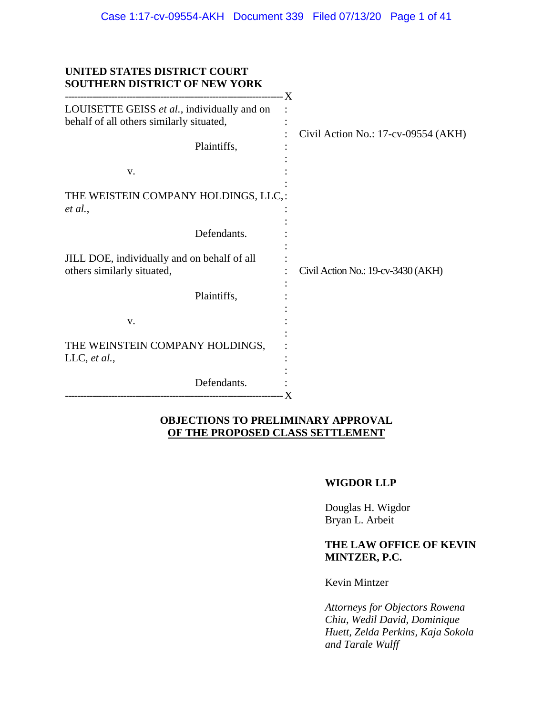| UNITED STATES DISTRICT COURT<br><b>SOUTHERN DISTRICT OF NEW YORK</b>                    |                                     |
|-----------------------------------------------------------------------------------------|-------------------------------------|
| LOUISETTE GEISS et al., individually and on<br>behalf of all others similarly situated, | Civil Action No.: 17-cv-09554 (AKH) |
| Plaintiffs,                                                                             |                                     |
| V.                                                                                      |                                     |
| THE WEISTEIN COMPANY HOLDINGS, LLC,:<br>et al.,                                         |                                     |
| Defendants.                                                                             |                                     |
| JILL DOE, individually and on behalf of all<br>others similarly situated,               | Civil Action No.: 19-cv-3430 (AKH)  |
| Plaintiffs,                                                                             |                                     |
| V.                                                                                      |                                     |
| THE WEINSTEIN COMPANY HOLDINGS,<br>LLC, et al.,                                         |                                     |
| Defendants.<br>--------------------------------------                                   | $\cdot X$                           |

## **OBJECTIONS TO PRELIMINARY APPROVAL OF THE PROPOSED CLASS SETTLEMENT**

## **WIGDOR LLP**

Douglas H. Wigdor Bryan L. Arbeit

## **THE LAW OFFICE OF KEVIN MINTZER, P.C.**

Kevin Mintzer

*Attorneys for Objectors Rowena Chiu, Wedil David, Dominique Huett, Zelda Perkins, Kaja Sokola and Tarale Wulff*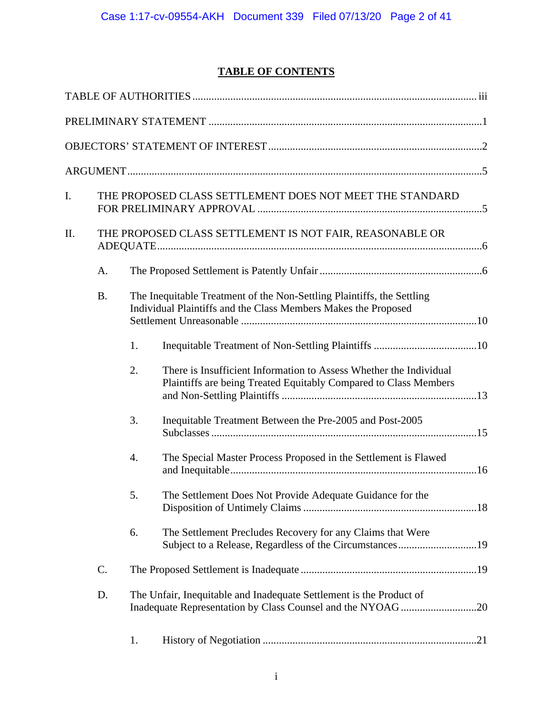# **TABLE OF CONTENTS**

| I. |           |    | THE PROPOSED CLASS SETTLEMENT DOES NOT MEET THE STANDARD                                                                                 |  |
|----|-----------|----|------------------------------------------------------------------------------------------------------------------------------------------|--|
| Π. |           |    | THE PROPOSED CLASS SETTLEMENT IS NOT FAIR, REASONABLE OR                                                                                 |  |
|    | A.        |    |                                                                                                                                          |  |
|    | <b>B.</b> |    | The Inequitable Treatment of the Non-Settling Plaintiffs, the Settling<br>Individual Plaintiffs and the Class Members Makes the Proposed |  |
|    |           | 1. |                                                                                                                                          |  |
|    |           | 2. | There is Insufficient Information to Assess Whether the Individual<br>Plaintiffs are being Treated Equitably Compared to Class Members   |  |
|    |           | 3. | Inequitable Treatment Between the Pre-2005 and Post-2005                                                                                 |  |
|    |           | 4. | The Special Master Process Proposed in the Settlement is Flawed                                                                          |  |
|    |           | Ć. | The Settlement Does Not Provide Adequate Guidance for the                                                                                |  |
|    |           | 6. | The Settlement Precludes Recovery for any Claims that Were<br>Subject to a Release, Regardless of the Circumstances19                    |  |
|    | C.        |    |                                                                                                                                          |  |
|    | D.        |    | The Unfair, Inequitable and Inadequate Settlement is the Product of<br>Inadequate Representation by Class Counsel and the NYOAG 20       |  |
|    |           | 1. |                                                                                                                                          |  |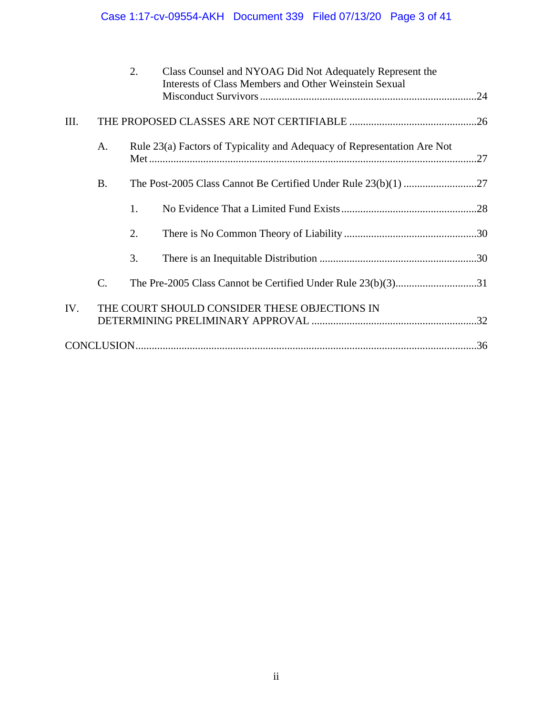# Case 1:17-cv-09554-AKH Document 339 Filed 07/13/20 Page 3 of 41

|     |                 | 2. | Class Counsel and NYOAG Did Not Adequately Represent the<br>Interests of Class Members and Other Weinstein Sexual |  |
|-----|-----------------|----|-------------------------------------------------------------------------------------------------------------------|--|
| Ш.  |                 |    |                                                                                                                   |  |
|     | A.              |    | Rule 23(a) Factors of Typicality and Adequacy of Representation Are Not                                           |  |
|     | <b>B.</b>       |    |                                                                                                                   |  |
|     |                 | 1. |                                                                                                                   |  |
|     |                 | 2. |                                                                                                                   |  |
|     |                 | 3. |                                                                                                                   |  |
|     | $\mathcal{C}$ . |    | The Pre-2005 Class Cannot be Certified Under Rule 23(b)(3)31                                                      |  |
| IV. |                 |    | THE COURT SHOULD CONSIDER THESE OBJECTIONS IN                                                                     |  |
|     |                 |    |                                                                                                                   |  |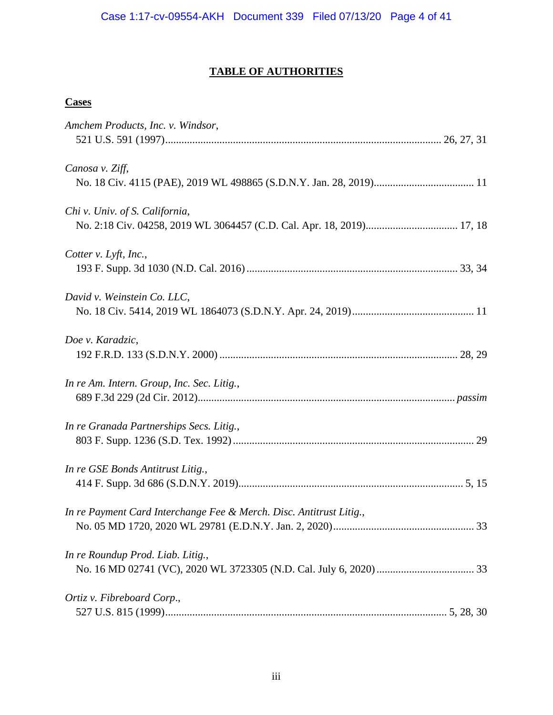# **TABLE OF AUTHORITIES**

## **Cases**

| Amchem Products, Inc. v. Windsor,                                   |  |
|---------------------------------------------------------------------|--|
|                                                                     |  |
|                                                                     |  |
| Canosa v. Ziff,                                                     |  |
|                                                                     |  |
|                                                                     |  |
| Chi v. Univ. of S. California,                                      |  |
|                                                                     |  |
|                                                                     |  |
| Cotter v. Lyft, Inc.,                                               |  |
|                                                                     |  |
| David v. Weinstein Co. LLC,                                         |  |
|                                                                     |  |
|                                                                     |  |
| Doe v. Karadzic,                                                    |  |
|                                                                     |  |
|                                                                     |  |
| In re Am. Intern. Group, Inc. Sec. Litig.,                          |  |
|                                                                     |  |
|                                                                     |  |
| In re Granada Partnerships Secs. Litig.,                            |  |
|                                                                     |  |
|                                                                     |  |
| In re GSE Bonds Antitrust Litig.,                                   |  |
|                                                                     |  |
|                                                                     |  |
| In re Payment Card Interchange Fee & Merch. Disc. Antitrust Litig., |  |
|                                                                     |  |
| In re Roundup Prod. Liab. Litig.,                                   |  |
|                                                                     |  |
|                                                                     |  |
| Ortiz v. Fibreboard Corp.,                                          |  |
|                                                                     |  |
|                                                                     |  |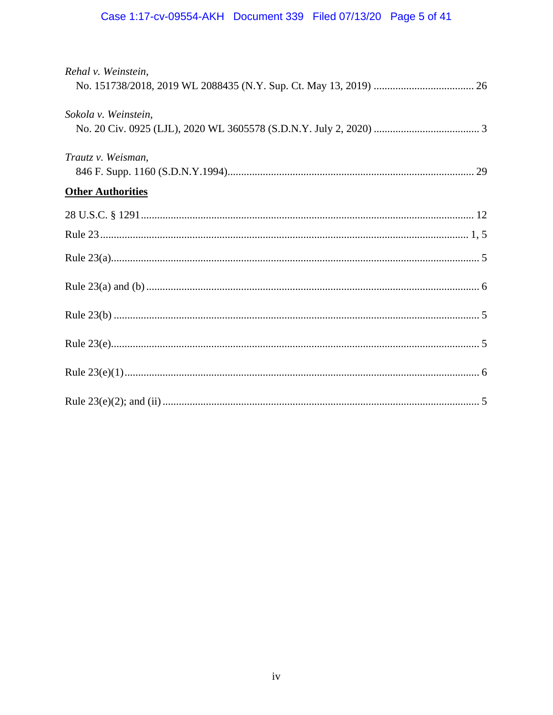# Case 1:17-cv-09554-AKH Document 339 Filed 07/13/20 Page 5 of 41

| Rehal v. Weinstein,      |  |
|--------------------------|--|
|                          |  |
| Sokola v. Weinstein,     |  |
|                          |  |
| Trautz v. Weisman,       |  |
| <b>Other Authorities</b> |  |
|                          |  |
|                          |  |
|                          |  |
|                          |  |
|                          |  |
|                          |  |
|                          |  |
|                          |  |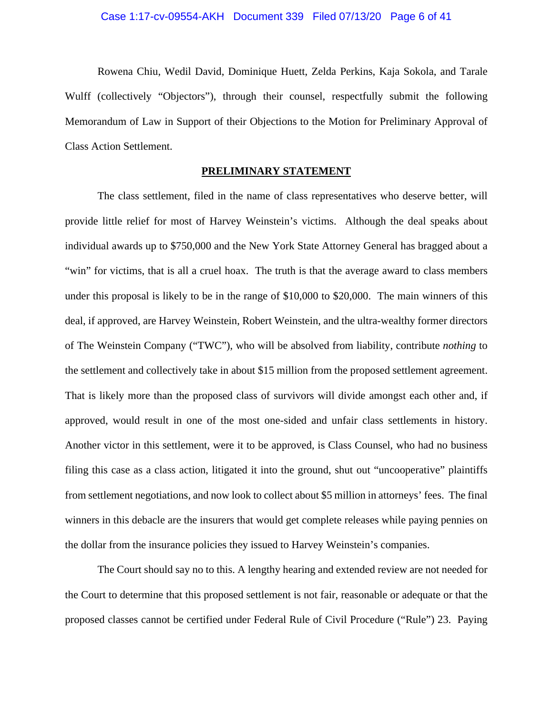Rowena Chiu, Wedil David, Dominique Huett, Zelda Perkins, Kaja Sokola, and Tarale Wulff (collectively "Objectors"), through their counsel, respectfully submit the following Memorandum of Law in Support of their Objections to the Motion for Preliminary Approval of Class Action Settlement.

## **PRELIMINARY STATEMENT**

 The class settlement, filed in the name of class representatives who deserve better, will provide little relief for most of Harvey Weinstein's victims. Although the deal speaks about individual awards up to \$750,000 and the New York State Attorney General has bragged about a "win" for victims, that is all a cruel hoax. The truth is that the average award to class members under this proposal is likely to be in the range of \$10,000 to \$20,000. The main winners of this deal, if approved, are Harvey Weinstein, Robert Weinstein, and the ultra-wealthy former directors of The Weinstein Company ("TWC"), who will be absolved from liability, contribute *nothing* to the settlement and collectively take in about \$15 million from the proposed settlement agreement. That is likely more than the proposed class of survivors will divide amongst each other and, if approved, would result in one of the most one-sided and unfair class settlements in history. Another victor in this settlement, were it to be approved, is Class Counsel, who had no business filing this case as a class action, litigated it into the ground, shut out "uncooperative" plaintiffs from settlement negotiations, and now look to collect about \$5 million in attorneys' fees. The final winners in this debacle are the insurers that would get complete releases while paying pennies on the dollar from the insurance policies they issued to Harvey Weinstein's companies.

 The Court should say no to this. A lengthy hearing and extended review are not needed for the Court to determine that this proposed settlement is not fair, reasonable or adequate or that the proposed classes cannot be certified under Federal Rule of Civil Procedure ("Rule") 23. Paying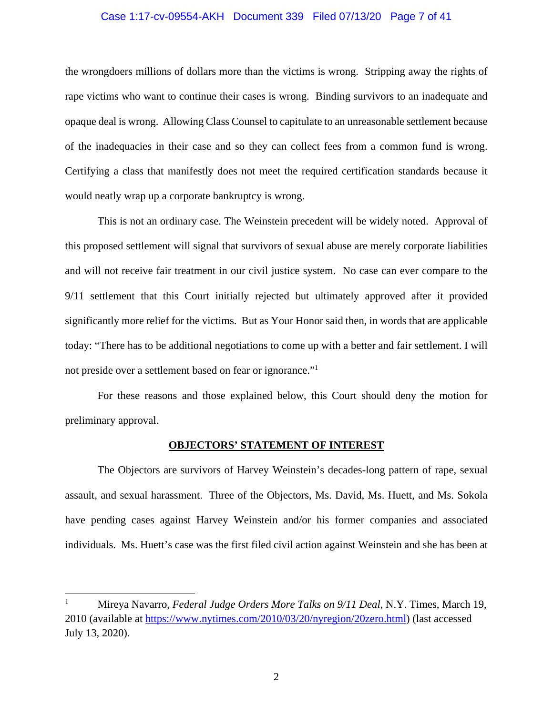## Case 1:17-cv-09554-AKH Document 339 Filed 07/13/20 Page 7 of 41

the wrongdoers millions of dollars more than the victims is wrong. Stripping away the rights of rape victims who want to continue their cases is wrong. Binding survivors to an inadequate and opaque deal is wrong. Allowing Class Counsel to capitulate to an unreasonable settlement because of the inadequacies in their case and so they can collect fees from a common fund is wrong. Certifying a class that manifestly does not meet the required certification standards because it would neatly wrap up a corporate bankruptcy is wrong.

This is not an ordinary case. The Weinstein precedent will be widely noted. Approval of this proposed settlement will signal that survivors of sexual abuse are merely corporate liabilities and will not receive fair treatment in our civil justice system. No case can ever compare to the 9/11 settlement that this Court initially rejected but ultimately approved after it provided significantly more relief for the victims. But as Your Honor said then, in words that are applicable today: "There has to be additional negotiations to come up with a better and fair settlement. I will not preside over a settlement based on fear or ignorance."1

For these reasons and those explained below, this Court should deny the motion for preliminary approval.

#### **OBJECTORS' STATEMENT OF INTEREST**

The Objectors are survivors of Harvey Weinstein's decades-long pattern of rape, sexual assault, and sexual harassment. Three of the Objectors, Ms. David, Ms. Huett, and Ms. Sokola have pending cases against Harvey Weinstein and/or his former companies and associated individuals. Ms. Huett's case was the first filed civil action against Weinstein and she has been at

<sup>1</sup> Mireya Navarro, *Federal Judge Orders More Talks on 9/11 Deal*, N.Y. Times, March 19, 2010 (available at https://www.nytimes.com/2010/03/20/nyregion/20zero.html) (last accessed July 13, 2020).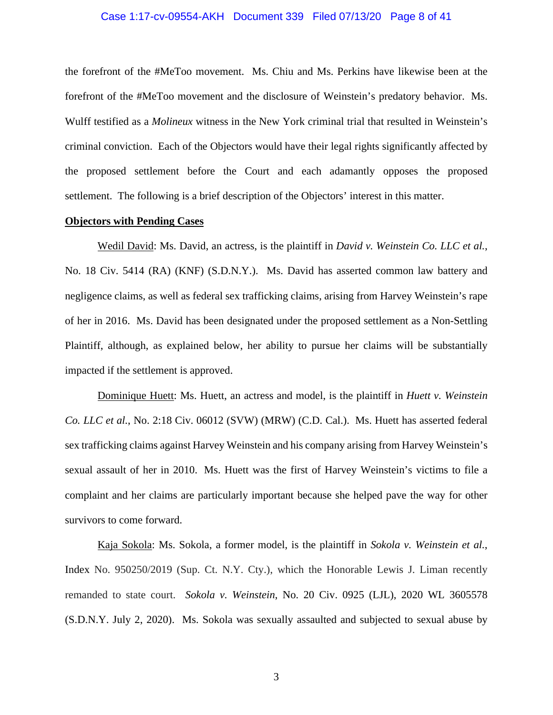## Case 1:17-cv-09554-AKH Document 339 Filed 07/13/20 Page 8 of 41

the forefront of the #MeToo movement. Ms. Chiu and Ms. Perkins have likewise been at the forefront of the #MeToo movement and the disclosure of Weinstein's predatory behavior. Ms. Wulff testified as a *Molineux* witness in the New York criminal trial that resulted in Weinstein's criminal conviction. Each of the Objectors would have their legal rights significantly affected by the proposed settlement before the Court and each adamantly opposes the proposed settlement. The following is a brief description of the Objectors' interest in this matter.

#### **Objectors with Pending Cases**

Wedil David: Ms. David, an actress, is the plaintiff in *David v. Weinstein Co. LLC et al.*, No. 18 Civ. 5414 (RA) (KNF) (S.D.N.Y.). Ms. David has asserted common law battery and negligence claims, as well as federal sex trafficking claims, arising from Harvey Weinstein's rape of her in 2016. Ms. David has been designated under the proposed settlement as a Non-Settling Plaintiff, although, as explained below, her ability to pursue her claims will be substantially impacted if the settlement is approved.

Dominique Huett: Ms. Huett, an actress and model, is the plaintiff in *Huett v. Weinstein Co. LLC et al.*, No. 2:18 Civ. 06012 (SVW) (MRW) (C.D. Cal.). Ms. Huett has asserted federal sex trafficking claims against Harvey Weinstein and his company arising from Harvey Weinstein's sexual assault of her in 2010. Ms. Huett was the first of Harvey Weinstein's victims to file a complaint and her claims are particularly important because she helped pave the way for other survivors to come forward.

Kaja Sokola: Ms. Sokola, a former model, is the plaintiff in *Sokola v. Weinstein et al.*, Index No. 950250/2019 (Sup. Ct. N.Y. Cty.), which the Honorable Lewis J. Liman recently remanded to state court. *Sokola v. Weinstein*, No. 20 Civ. 0925 (LJL), 2020 WL 3605578 (S.D.N.Y. July 2, 2020). Ms. Sokola was sexually assaulted and subjected to sexual abuse by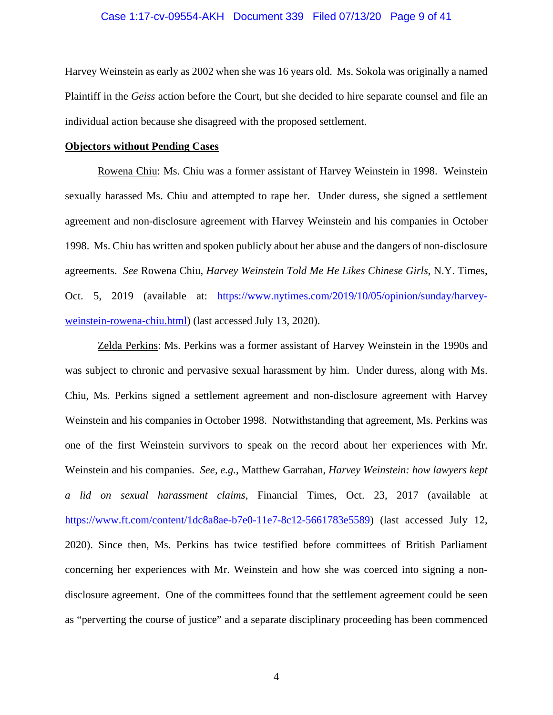## Case 1:17-cv-09554-AKH Document 339 Filed 07/13/20 Page 9 of 41

Harvey Weinstein as early as 2002 when she was 16 years old. Ms. Sokola was originally a named Plaintiff in the *Geiss* action before the Court, but she decided to hire separate counsel and file an individual action because she disagreed with the proposed settlement.

#### **Objectors without Pending Cases**

Rowena Chiu: Ms. Chiu was a former assistant of Harvey Weinstein in 1998. Weinstein sexually harassed Ms. Chiu and attempted to rape her. Under duress, she signed a settlement agreement and non-disclosure agreement with Harvey Weinstein and his companies in October 1998. Ms. Chiu has written and spoken publicly about her abuse and the dangers of non-disclosure agreements. *See* Rowena Chiu, *Harvey Weinstein Told Me He Likes Chinese Girls*, N.Y. Times, Oct. 5, 2019 (available at: https://www.nytimes.com/2019/10/05/opinion/sunday/harveyweinstein-rowena-chiu.html) (last accessed July 13, 2020).

Zelda Perkins: Ms. Perkins was a former assistant of Harvey Weinstein in the 1990s and was subject to chronic and pervasive sexual harassment by him. Under duress, along with Ms. Chiu, Ms. Perkins signed a settlement agreement and non-disclosure agreement with Harvey Weinstein and his companies in October 1998. Notwithstanding that agreement, Ms. Perkins was one of the first Weinstein survivors to speak on the record about her experiences with Mr. Weinstein and his companies. *See, e.g.*, Matthew Garrahan, *Harvey Weinstein: how lawyers kept a lid on sexual harassment claims*, Financial Times, Oct. 23, 2017 (available at https://www.ft.com/content/1dc8a8ae-b7e0-11e7-8c12-5661783e5589) (last accessed July 12, 2020). Since then, Ms. Perkins has twice testified before committees of British Parliament concerning her experiences with Mr. Weinstein and how she was coerced into signing a nondisclosure agreement. One of the committees found that the settlement agreement could be seen as "perverting the course of justice" and a separate disciplinary proceeding has been commenced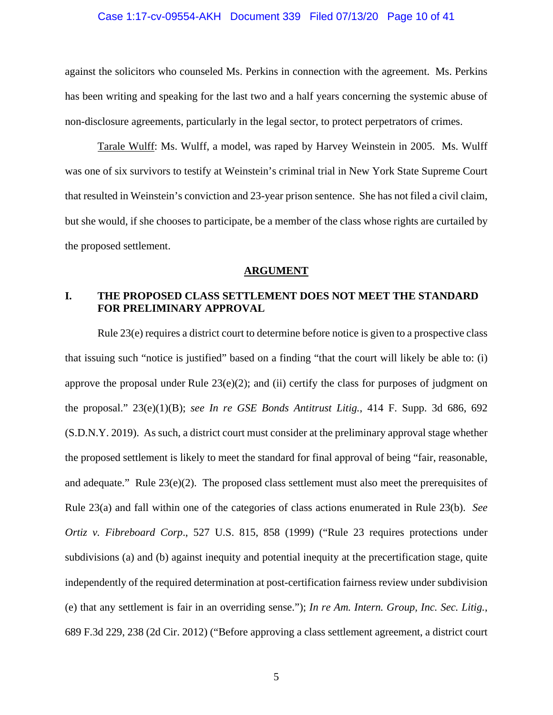## Case 1:17-cv-09554-AKH Document 339 Filed 07/13/20 Page 10 of 41

against the solicitors who counseled Ms. Perkins in connection with the agreement. Ms. Perkins has been writing and speaking for the last two and a half years concerning the systemic abuse of non-disclosure agreements, particularly in the legal sector, to protect perpetrators of crimes.

Tarale Wulff: Ms. Wulff, a model, was raped by Harvey Weinstein in 2005. Ms. Wulff was one of six survivors to testify at Weinstein's criminal trial in New York State Supreme Court that resulted in Weinstein's conviction and 23-year prison sentence. She has not filed a civil claim, but she would, if she chooses to participate, be a member of the class whose rights are curtailed by the proposed settlement.

#### **ARGUMENT**

## **I. THE PROPOSED CLASS SETTLEMENT DOES NOT MEET THE STANDARD FOR PRELIMINARY APPROVAL**

Rule 23(e) requires a district court to determine before notice is given to a prospective class that issuing such "notice is justified" based on a finding "that the court will likely be able to: (i) approve the proposal under Rule  $23(e)(2)$ ; and (ii) certify the class for purposes of judgment on the proposal." 23(e)(1)(B); *see In re GSE Bonds Antitrust Litig.*, 414 F. Supp. 3d 686, 692 (S.D.N.Y. 2019). As such, a district court must consider at the preliminary approval stage whether the proposed settlement is likely to meet the standard for final approval of being "fair, reasonable, and adequate." Rule 23(e)(2). The proposed class settlement must also meet the prerequisites of Rule 23(a) and fall within one of the categories of class actions enumerated in Rule 23(b). *See Ortiz v. Fibreboard Corp*., 527 U.S. 815, 858 (1999) ("Rule 23 requires protections under subdivisions (a) and (b) against inequity and potential inequity at the precertification stage, quite independently of the required determination at post-certification fairness review under subdivision (e) that any settlement is fair in an overriding sense."); *In re Am. Intern. Group, Inc. Sec. Litig.*, 689 F.3d 229, 238 (2d Cir. 2012) ("Before approving a class settlement agreement, a district court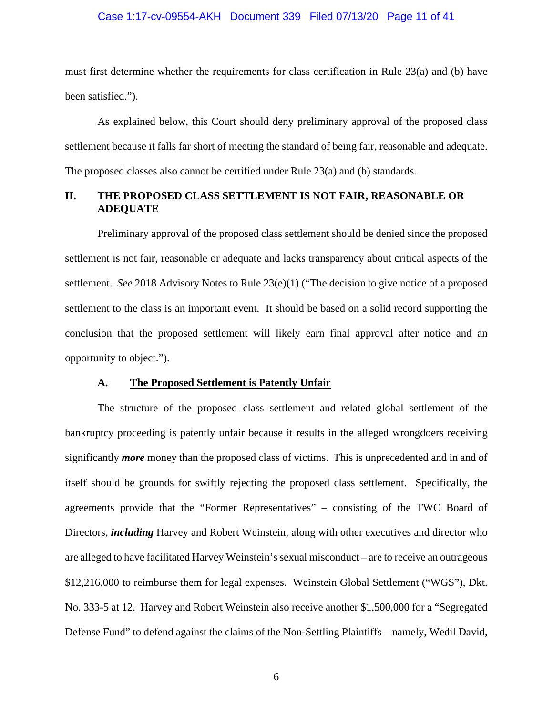## Case 1:17-cv-09554-AKH Document 339 Filed 07/13/20 Page 11 of 41

must first determine whether the requirements for class certification in Rule 23(a) and (b) have been satisfied.").

As explained below, this Court should deny preliminary approval of the proposed class settlement because it falls far short of meeting the standard of being fair, reasonable and adequate. The proposed classes also cannot be certified under Rule 23(a) and (b) standards.

## **II. THE PROPOSED CLASS SETTLEMENT IS NOT FAIR, REASONABLE OR ADEQUATE**

Preliminary approval of the proposed class settlement should be denied since the proposed settlement is not fair, reasonable or adequate and lacks transparency about critical aspects of the settlement. *See* 2018 Advisory Notes to Rule 23(e)(1) ("The decision to give notice of a proposed settlement to the class is an important event. It should be based on a solid record supporting the conclusion that the proposed settlement will likely earn final approval after notice and an opportunity to object.").

## **A. The Proposed Settlement is Patently Unfair**

The structure of the proposed class settlement and related global settlement of the bankruptcy proceeding is patently unfair because it results in the alleged wrongdoers receiving significantly *more* money than the proposed class of victims. This is unprecedented and in and of itself should be grounds for swiftly rejecting the proposed class settlement. Specifically, the agreements provide that the "Former Representatives" – consisting of the TWC Board of Directors, *including* Harvey and Robert Weinstein, along with other executives and director who are alleged to have facilitated Harvey Weinstein's sexual misconduct – are to receive an outrageous \$12,216,000 to reimburse them for legal expenses. Weinstein Global Settlement ("WGS"), Dkt. No. 333-5 at 12. Harvey and Robert Weinstein also receive another \$1,500,000 for a "Segregated Defense Fund" to defend against the claims of the Non-Settling Plaintiffs – namely, Wedil David,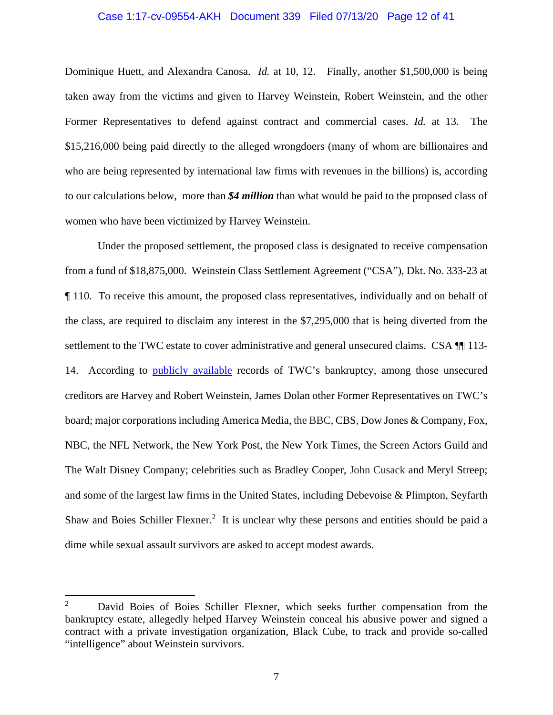## Case 1:17-cv-09554-AKH Document 339 Filed 07/13/20 Page 12 of 41

Dominique Huett, and Alexandra Canosa. *Id.* at 10, 12. Finally, another \$1,500,000 is being taken away from the victims and given to Harvey Weinstein, Robert Weinstein, and the other Former Representatives to defend against contract and commercial cases. *Id.* at 13. The \$15,216,000 being paid directly to the alleged wrongdoers (many of whom are billionaires and who are being represented by international law firms with revenues in the billions) is, according to our calculations below, more than *\$4 million* than what would be paid to the proposed class of women who have been victimized by Harvey Weinstein.

Under the proposed settlement, the proposed class is designated to receive compensation from a fund of \$18,875,000. Weinstein Class Settlement Agreement ("CSA"), Dkt. No. 333-23 at ¶ 110. To receive this amount, the proposed class representatives, individually and on behalf of the class, are required to disclaim any interest in the \$7,295,000 that is being diverted from the settlement to the TWC estate to cover administrative and general unsecured claims. CSA ¶[113-14. According to **publicly** available records of TWC's bankruptcy, among those unsecured creditors are Harvey and Robert Weinstein, James Dolan other Former Representatives on TWC's board; major corporations including America Media, the BBC, CBS, Dow Jones & Company, Fox, NBC, the NFL Network, the New York Post, the New York Times, the Screen Actors Guild and The Walt Disney Company; celebrities such as Bradley Cooper, John Cusack and Meryl Streep; and some of the largest law firms in the United States, including Debevoise & Plimpton, Seyfarth Shaw and Boies Schiller Flexner.<sup>2</sup> It is unclear why these persons and entities should be paid a dime while sexual assault survivors are asked to accept modest awards.

<sup>2</sup> David Boies of Boies Schiller Flexner, which seeks further compensation from the bankruptcy estate, allegedly helped Harvey Weinstein conceal his abusive power and signed a contract with a private investigation organization, Black Cube, to track and provide so-called "intelligence" about Weinstein survivors.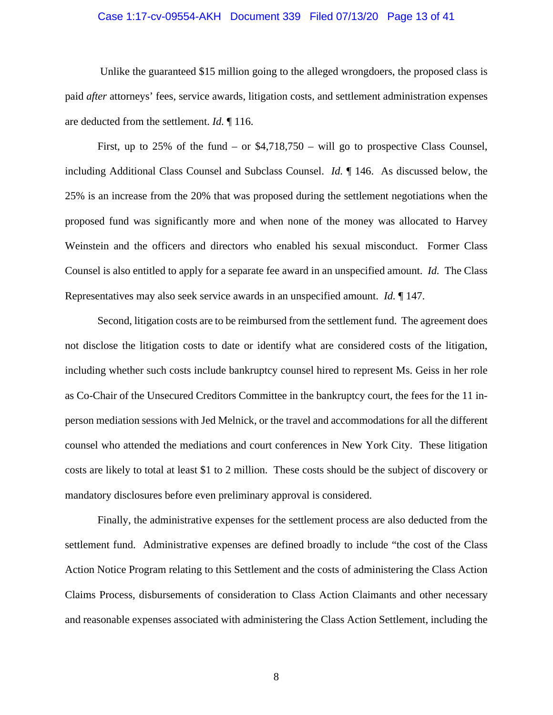## Case 1:17-cv-09554-AKH Document 339 Filed 07/13/20 Page 13 of 41

 Unlike the guaranteed \$15 million going to the alleged wrongdoers, the proposed class is paid *after* attorneys' fees, service awards, litigation costs, and settlement administration expenses are deducted from the settlement. *Id.* ¶ 116.

First, up to  $25\%$  of the fund – or  $$4,718,750$  – will go to prospective Class Counsel, including Additional Class Counsel and Subclass Counsel. *Id.* ¶ 146. As discussed below, the 25% is an increase from the 20% that was proposed during the settlement negotiations when the proposed fund was significantly more and when none of the money was allocated to Harvey Weinstein and the officers and directors who enabled his sexual misconduct. Former Class Counsel is also entitled to apply for a separate fee award in an unspecified amount. *Id.* The Class Representatives may also seek service awards in an unspecified amount. *Id.* ¶ 147.

Second, litigation costs are to be reimbursed from the settlement fund. The agreement does not disclose the litigation costs to date or identify what are considered costs of the litigation, including whether such costs include bankruptcy counsel hired to represent Ms. Geiss in her role as Co-Chair of the Unsecured Creditors Committee in the bankruptcy court, the fees for the 11 inperson mediation sessions with Jed Melnick, or the travel and accommodations for all the different counsel who attended the mediations and court conferences in New York City. These litigation costs are likely to total at least \$1 to 2 million. These costs should be the subject of discovery or mandatory disclosures before even preliminary approval is considered.

Finally, the administrative expenses for the settlement process are also deducted from the settlement fund. Administrative expenses are defined broadly to include "the cost of the Class Action Notice Program relating to this Settlement and the costs of administering the Class Action Claims Process, disbursements of consideration to Class Action Claimants and other necessary and reasonable expenses associated with administering the Class Action Settlement, including the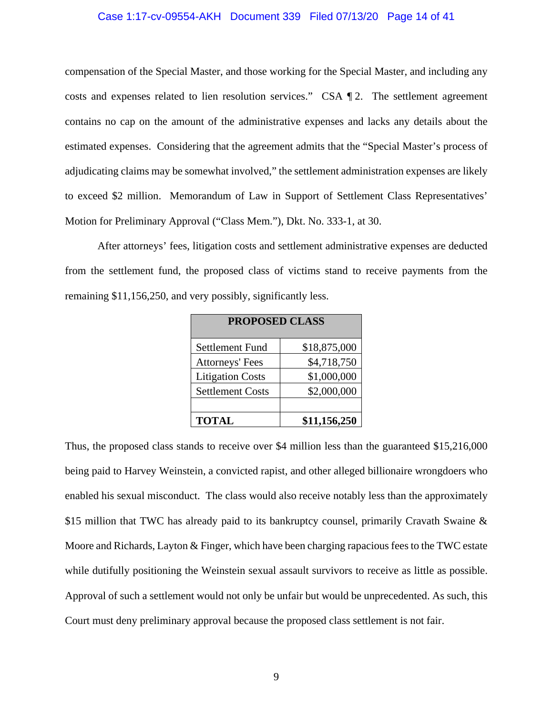## Case 1:17-cv-09554-AKH Document 339 Filed 07/13/20 Page 14 of 41

compensation of the Special Master, and those working for the Special Master, and including any costs and expenses related to lien resolution services." CSA ¶ 2. The settlement agreement contains no cap on the amount of the administrative expenses and lacks any details about the estimated expenses. Considering that the agreement admits that the "Special Master's process of adjudicating claims may be somewhat involved," the settlement administration expenses are likely to exceed \$2 million. Memorandum of Law in Support of Settlement Class Representatives' Motion for Preliminary Approval ("Class Mem."), Dkt. No. 333-1, at 30.

After attorneys' fees, litigation costs and settlement administrative expenses are deducted from the settlement fund, the proposed class of victims stand to receive payments from the remaining \$11,156,250, and very possibly, significantly less.

| <b>PROPOSED CLASS</b>   |              |
|-------------------------|--------------|
| <b>Settlement Fund</b>  | \$18,875,000 |
| <b>Attorneys' Fees</b>  | \$4,718,750  |
| <b>Litigation Costs</b> | \$1,000,000  |
| <b>Settlement Costs</b> | \$2,000,000  |
|                         |              |
| <b>TOTAL</b>            | \$11,156,250 |

Thus, the proposed class stands to receive over \$4 million less than the guaranteed \$15,216,000 being paid to Harvey Weinstein, a convicted rapist, and other alleged billionaire wrongdoers who enabled his sexual misconduct. The class would also receive notably less than the approximately \$15 million that TWC has already paid to its bankruptcy counsel, primarily Cravath Swaine & Moore and Richards, Layton & Finger, which have been charging rapacious fees to the TWC estate while dutifully positioning the Weinstein sexual assault survivors to receive as little as possible. Approval of such a settlement would not only be unfair but would be unprecedented. As such, this Court must deny preliminary approval because the proposed class settlement is not fair.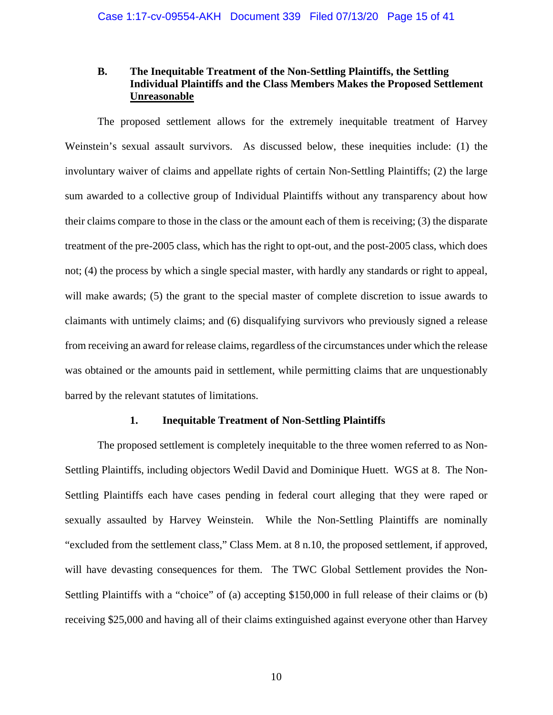## **B. The Inequitable Treatment of the Non-Settling Plaintiffs, the Settling Individual Plaintiffs and the Class Members Makes the Proposed Settlement Unreasonable**

The proposed settlement allows for the extremely inequitable treatment of Harvey Weinstein's sexual assault survivors. As discussed below, these inequities include: (1) the involuntary waiver of claims and appellate rights of certain Non-Settling Plaintiffs; (2) the large sum awarded to a collective group of Individual Plaintiffs without any transparency about how their claims compare to those in the class or the amount each of them is receiving; (3) the disparate treatment of the pre-2005 class, which has the right to opt-out, and the post-2005 class, which does not; (4) the process by which a single special master, with hardly any standards or right to appeal, will make awards; (5) the grant to the special master of complete discretion to issue awards to claimants with untimely claims; and (6) disqualifying survivors who previously signed a release from receiving an award for release claims, regardless of the circumstances under which the release was obtained or the amounts paid in settlement, while permitting claims that are unquestionably barred by the relevant statutes of limitations.

## **1. Inequitable Treatment of Non-Settling Plaintiffs**

The proposed settlement is completely inequitable to the three women referred to as Non-Settling Plaintiffs, including objectors Wedil David and Dominique Huett. WGS at 8. The Non-Settling Plaintiffs each have cases pending in federal court alleging that they were raped or sexually assaulted by Harvey Weinstein. While the Non-Settling Plaintiffs are nominally "excluded from the settlement class," Class Mem. at 8 n.10, the proposed settlement, if approved, will have devasting consequences for them. The TWC Global Settlement provides the Non-Settling Plaintiffs with a "choice" of (a) accepting \$150,000 in full release of their claims or (b) receiving \$25,000 and having all of their claims extinguished against everyone other than Harvey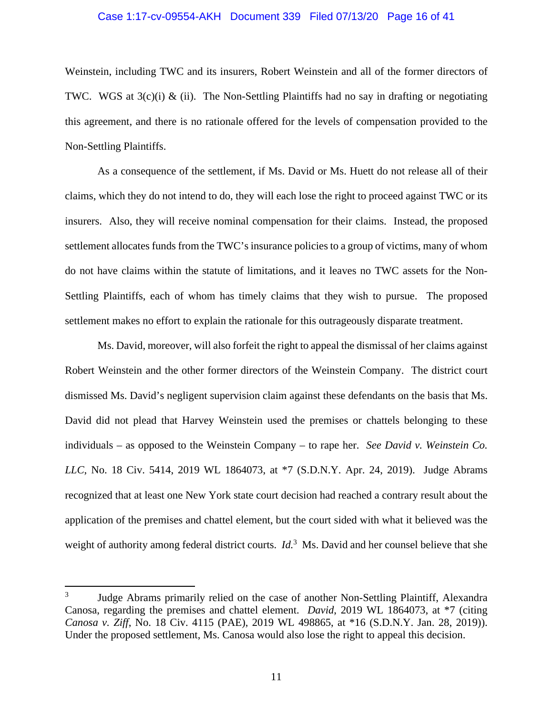## Case 1:17-cv-09554-AKH Document 339 Filed 07/13/20 Page 16 of 41

Weinstein, including TWC and its insurers, Robert Weinstein and all of the former directors of TWC. WGS at  $3(c)(i)$  & (ii). The Non-Settling Plaintiffs had no say in drafting or negotiating this agreement, and there is no rationale offered for the levels of compensation provided to the Non-Settling Plaintiffs.

As a consequence of the settlement, if Ms. David or Ms. Huett do not release all of their claims, which they do not intend to do, they will each lose the right to proceed against TWC or its insurers. Also, they will receive nominal compensation for their claims. Instead, the proposed settlement allocates funds from the TWC's insurance policies to a group of victims, many of whom do not have claims within the statute of limitations, and it leaves no TWC assets for the Non-Settling Plaintiffs, each of whom has timely claims that they wish to pursue. The proposed settlement makes no effort to explain the rationale for this outrageously disparate treatment.

Ms. David, moreover, will also forfeit the right to appeal the dismissal of her claims against Robert Weinstein and the other former directors of the Weinstein Company. The district court dismissed Ms. David's negligent supervision claim against these defendants on the basis that Ms. David did not plead that Harvey Weinstein used the premises or chattels belonging to these individuals – as opposed to the Weinstein Company – to rape her. *See David v. Weinstein Co. LLC*, No. 18 Civ. 5414, 2019 WL 1864073, at \*7 (S.D.N.Y. Apr. 24, 2019). Judge Abrams recognized that at least one New York state court decision had reached a contrary result about the application of the premises and chattel element, but the court sided with what it believed was the weight of authority among federal district courts. *Id*.<sup>3</sup> Ms. David and her counsel believe that she

<sup>3</sup> Judge Abrams primarily relied on the case of another Non-Settling Plaintiff, Alexandra Canosa, regarding the premises and chattel element. *David*, 2019 WL 1864073, at \*7 (citing *Canosa v. Ziff*, No. 18 Civ. 4115 (PAE), 2019 WL 498865, at \*16 (S.D.N.Y. Jan. 28, 2019)). Under the proposed settlement, Ms. Canosa would also lose the right to appeal this decision.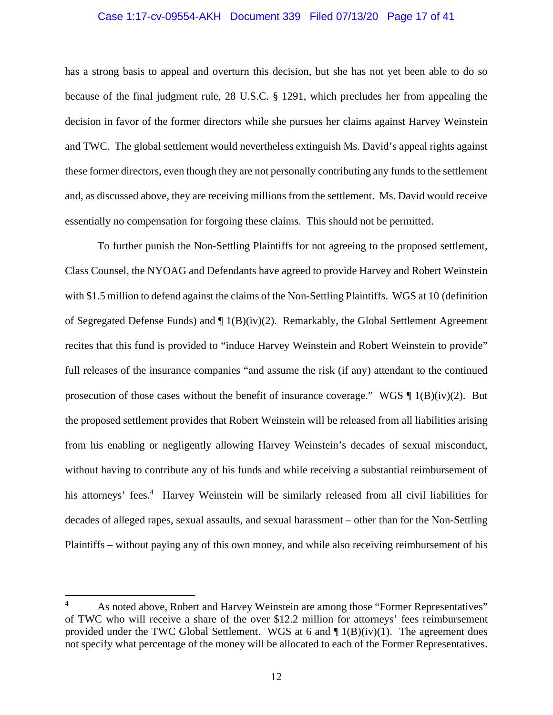## Case 1:17-cv-09554-AKH Document 339 Filed 07/13/20 Page 17 of 41

has a strong basis to appeal and overturn this decision, but she has not yet been able to do so because of the final judgment rule, 28 U.S.C. § 1291, which precludes her from appealing the decision in favor of the former directors while she pursues her claims against Harvey Weinstein and TWC. The global settlement would nevertheless extinguish Ms. David's appeal rights against these former directors, even though they are not personally contributing any funds to the settlement and, as discussed above, they are receiving millions from the settlement. Ms. David would receive essentially no compensation for forgoing these claims. This should not be permitted.

To further punish the Non-Settling Plaintiffs for not agreeing to the proposed settlement, Class Counsel, the NYOAG and Defendants have agreed to provide Harvey and Robert Weinstein with \$1.5 million to defend against the claims of the Non-Settling Plaintiffs. WGS at 10 (definition of Segregated Defense Funds) and ¶ 1(B)(iv)(2). Remarkably, the Global Settlement Agreement recites that this fund is provided to "induce Harvey Weinstein and Robert Weinstein to provide" full releases of the insurance companies "and assume the risk (if any) attendant to the continued prosecution of those cases without the benefit of insurance coverage." WGS  $\P$  1(B)(iv)(2). But the proposed settlement provides that Robert Weinstein will be released from all liabilities arising from his enabling or negligently allowing Harvey Weinstein's decades of sexual misconduct, without having to contribute any of his funds and while receiving a substantial reimbursement of his attorneys' fees.<sup>4</sup> Harvey Weinstein will be similarly released from all civil liabilities for decades of alleged rapes, sexual assaults, and sexual harassment – other than for the Non-Settling Plaintiffs – without paying any of this own money, and while also receiving reimbursement of his

<sup>4</sup> As noted above, Robert and Harvey Weinstein are among those "Former Representatives" of TWC who will receive a share of the over \$12.2 million for attorneys' fees reimbursement provided under the TWC Global Settlement. WGS at 6 and  $\P$  1(B)(iv)(1). The agreement does not specify what percentage of the money will be allocated to each of the Former Representatives.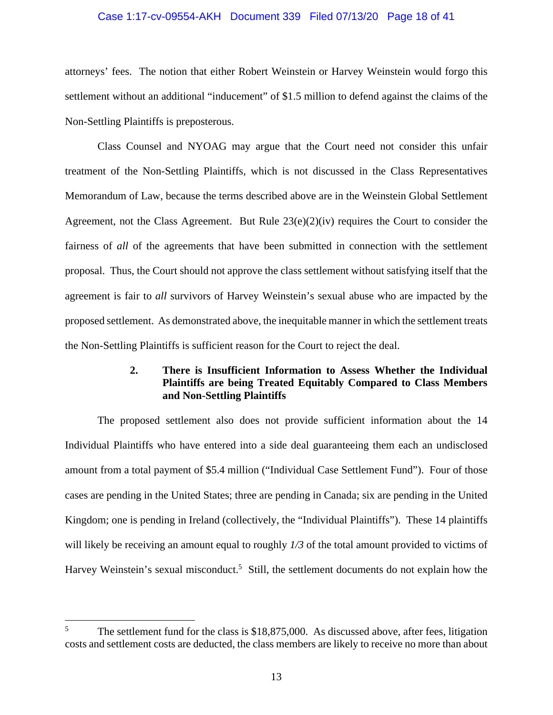## Case 1:17-cv-09554-AKH Document 339 Filed 07/13/20 Page 18 of 41

attorneys' fees. The notion that either Robert Weinstein or Harvey Weinstein would forgo this settlement without an additional "inducement" of \$1.5 million to defend against the claims of the Non-Settling Plaintiffs is preposterous.

Class Counsel and NYOAG may argue that the Court need not consider this unfair treatment of the Non-Settling Plaintiffs, which is not discussed in the Class Representatives Memorandum of Law, because the terms described above are in the Weinstein Global Settlement Agreement, not the Class Agreement. But Rule  $23(e)(2)(iv)$  requires the Court to consider the fairness of *all* of the agreements that have been submitted in connection with the settlement proposal. Thus, the Court should not approve the class settlement without satisfying itself that the agreement is fair to *all* survivors of Harvey Weinstein's sexual abuse who are impacted by the proposed settlement. As demonstrated above, the inequitable manner in which the settlement treats the Non-Settling Plaintiffs is sufficient reason for the Court to reject the deal.

## **2. There is Insufficient Information to Assess Whether the Individual Plaintiffs are being Treated Equitably Compared to Class Members and Non-Settling Plaintiffs**

The proposed settlement also does not provide sufficient information about the 14 Individual Plaintiffs who have entered into a side deal guaranteeing them each an undisclosed amount from a total payment of \$5.4 million ("Individual Case Settlement Fund"). Four of those cases are pending in the United States; three are pending in Canada; six are pending in the United Kingdom; one is pending in Ireland (collectively, the "Individual Plaintiffs"). These 14 plaintiffs will likely be receiving an amount equal to roughly *1/3* of the total amount provided to victims of Harvey Weinstein's sexual misconduct.<sup>5</sup> Still, the settlement documents do not explain how the

<sup>5</sup> The settlement fund for the class is \$18,875,000. As discussed above, after fees, litigation costs and settlement costs are deducted, the class members are likely to receive no more than about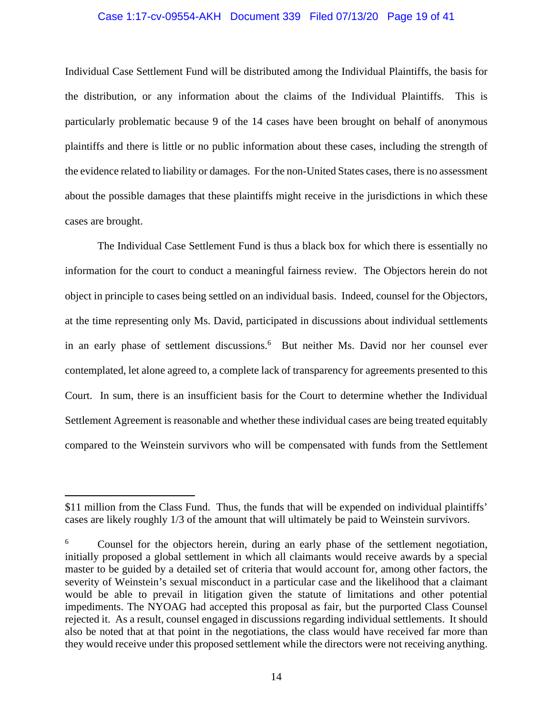## Case 1:17-cv-09554-AKH Document 339 Filed 07/13/20 Page 19 of 41

Individual Case Settlement Fund will be distributed among the Individual Plaintiffs, the basis for the distribution, or any information about the claims of the Individual Plaintiffs. This is particularly problematic because 9 of the 14 cases have been brought on behalf of anonymous plaintiffs and there is little or no public information about these cases, including the strength of the evidence related to liability or damages. For the non-United States cases, there is no assessment about the possible damages that these plaintiffs might receive in the jurisdictions in which these cases are brought.

The Individual Case Settlement Fund is thus a black box for which there is essentially no information for the court to conduct a meaningful fairness review. The Objectors herein do not object in principle to cases being settled on an individual basis. Indeed, counsel for the Objectors, at the time representing only Ms. David, participated in discussions about individual settlements in an early phase of settlement discussions.<sup>6</sup> But neither Ms. David nor her counsel ever contemplated, let alone agreed to, a complete lack of transparency for agreements presented to this Court. In sum, there is an insufficient basis for the Court to determine whether the Individual Settlement Agreement is reasonable and whether these individual cases are being treated equitably compared to the Weinstein survivors who will be compensated with funds from the Settlement

<sup>\$11</sup> million from the Class Fund. Thus, the funds that will be expended on individual plaintiffs' cases are likely roughly 1/3 of the amount that will ultimately be paid to Weinstein survivors.

<sup>6</sup> Counsel for the objectors herein, during an early phase of the settlement negotiation, initially proposed a global settlement in which all claimants would receive awards by a special master to be guided by a detailed set of criteria that would account for, among other factors, the severity of Weinstein's sexual misconduct in a particular case and the likelihood that a claimant would be able to prevail in litigation given the statute of limitations and other potential impediments. The NYOAG had accepted this proposal as fair, but the purported Class Counsel rejected it. As a result, counsel engaged in discussions regarding individual settlements. It should also be noted that at that point in the negotiations, the class would have received far more than they would receive under this proposed settlement while the directors were not receiving anything.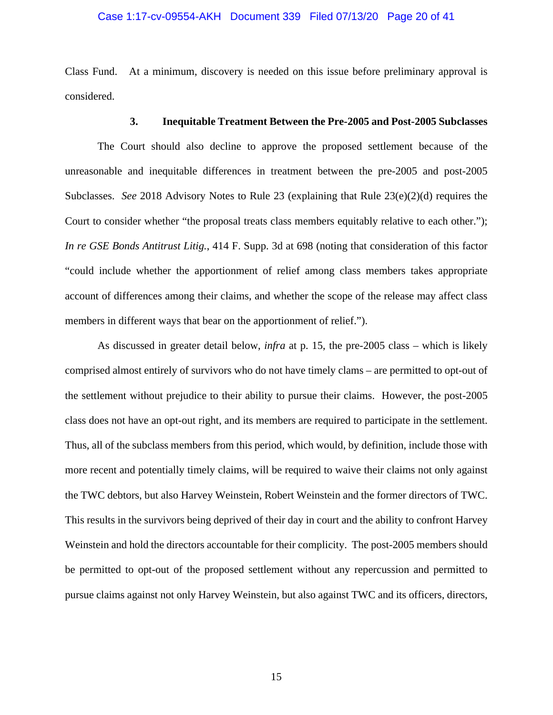## Case 1:17-cv-09554-AKH Document 339 Filed 07/13/20 Page 20 of 41

Class Fund. At a minimum, discovery is needed on this issue before preliminary approval is considered.

## **3. Inequitable Treatment Between the Pre-2005 and Post-2005 Subclasses**

The Court should also decline to approve the proposed settlement because of the unreasonable and inequitable differences in treatment between the pre-2005 and post-2005 Subclasses. *See* 2018 Advisory Notes to Rule 23 (explaining that Rule 23(e)(2)(d) requires the Court to consider whether "the proposal treats class members equitably relative to each other."); *In re GSE Bonds Antitrust Litig.*, 414 F. Supp. 3d at 698 (noting that consideration of this factor "could include whether the apportionment of relief among class members takes appropriate account of differences among their claims, and whether the scope of the release may affect class members in different ways that bear on the apportionment of relief.").

As discussed in greater detail below, *infra* at p. 15, the pre-2005 class – which is likely comprised almost entirely of survivors who do not have timely clams – are permitted to opt-out of the settlement without prejudice to their ability to pursue their claims. However, the post-2005 class does not have an opt-out right, and its members are required to participate in the settlement. Thus, all of the subclass members from this period, which would, by definition, include those with more recent and potentially timely claims, will be required to waive their claims not only against the TWC debtors, but also Harvey Weinstein, Robert Weinstein and the former directors of TWC. This results in the survivors being deprived of their day in court and the ability to confront Harvey Weinstein and hold the directors accountable for their complicity. The post-2005 members should be permitted to opt-out of the proposed settlement without any repercussion and permitted to pursue claims against not only Harvey Weinstein, but also against TWC and its officers, directors,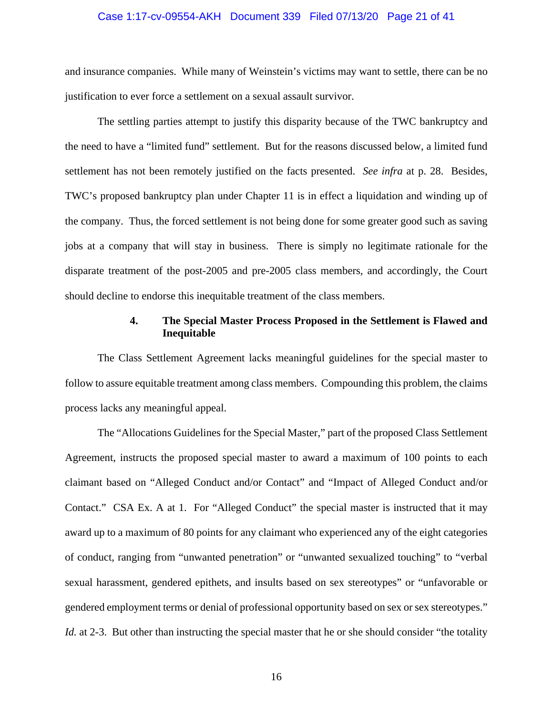## Case 1:17-cv-09554-AKH Document 339 Filed 07/13/20 Page 21 of 41

and insurance companies. While many of Weinstein's victims may want to settle, there can be no justification to ever force a settlement on a sexual assault survivor.

The settling parties attempt to justify this disparity because of the TWC bankruptcy and the need to have a "limited fund" settlement. But for the reasons discussed below, a limited fund settlement has not been remotely justified on the facts presented. *See infra* at p. 28. Besides, TWC's proposed bankruptcy plan under Chapter 11 is in effect a liquidation and winding up of the company. Thus, the forced settlement is not being done for some greater good such as saving jobs at a company that will stay in business. There is simply no legitimate rationale for the disparate treatment of the post-2005 and pre-2005 class members, and accordingly, the Court should decline to endorse this inequitable treatment of the class members.

## **4. The Special Master Process Proposed in the Settlement is Flawed and Inequitable**

 The Class Settlement Agreement lacks meaningful guidelines for the special master to follow to assure equitable treatment among class members. Compounding this problem, the claims process lacks any meaningful appeal.

 The "Allocations Guidelines for the Special Master," part of the proposed Class Settlement Agreement, instructs the proposed special master to award a maximum of 100 points to each claimant based on "Alleged Conduct and/or Contact" and "Impact of Alleged Conduct and/or Contact." CSA Ex. A at 1. For "Alleged Conduct" the special master is instructed that it may award up to a maximum of 80 points for any claimant who experienced any of the eight categories of conduct, ranging from "unwanted penetration" or "unwanted sexualized touching" to "verbal sexual harassment, gendered epithets, and insults based on sex stereotypes" or "unfavorable or gendered employment terms or denial of professional opportunity based on sex or sex stereotypes." *Id.* at 2-3. But other than instructing the special master that he or she should consider "the totality"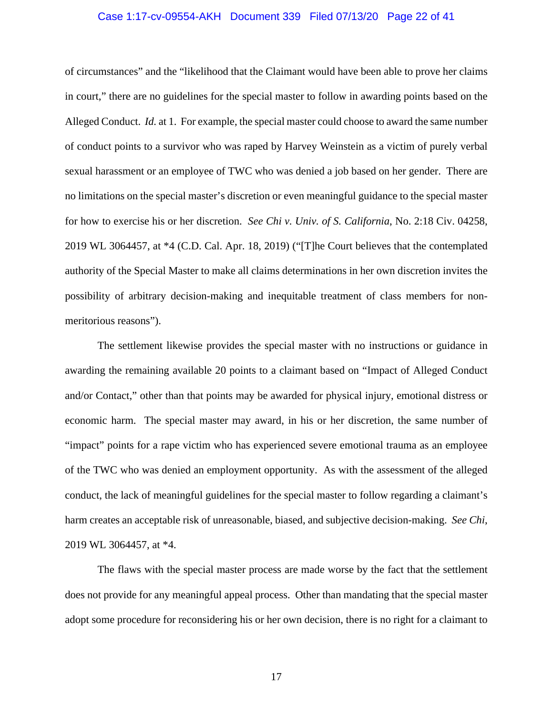## Case 1:17-cv-09554-AKH Document 339 Filed 07/13/20 Page 22 of 41

of circumstances" and the "likelihood that the Claimant would have been able to prove her claims in court," there are no guidelines for the special master to follow in awarding points based on the Alleged Conduct. *Id.* at 1. For example, the special master could choose to award the same number of conduct points to a survivor who was raped by Harvey Weinstein as a victim of purely verbal sexual harassment or an employee of TWC who was denied a job based on her gender. There are no limitations on the special master's discretion or even meaningful guidance to the special master for how to exercise his or her discretion. *See Chi v. Univ. of S. California*, No. 2:18 Civ. 04258, 2019 WL 3064457, at \*4 (C.D. Cal. Apr. 18, 2019) ("[T]he Court believes that the contemplated authority of the Special Master to make all claims determinations in her own discretion invites the possibility of arbitrary decision-making and inequitable treatment of class members for nonmeritorious reasons").

 The settlement likewise provides the special master with no instructions or guidance in awarding the remaining available 20 points to a claimant based on "Impact of Alleged Conduct and/or Contact," other than that points may be awarded for physical injury, emotional distress or economic harm. The special master may award, in his or her discretion, the same number of "impact" points for a rape victim who has experienced severe emotional trauma as an employee of the TWC who was denied an employment opportunity. As with the assessment of the alleged conduct, the lack of meaningful guidelines for the special master to follow regarding a claimant's harm creates an acceptable risk of unreasonable, biased, and subjective decision-making. *See Chi*, 2019 WL 3064457, at \*4.

 The flaws with the special master process are made worse by the fact that the settlement does not provide for any meaningful appeal process. Other than mandating that the special master adopt some procedure for reconsidering his or her own decision, there is no right for a claimant to

17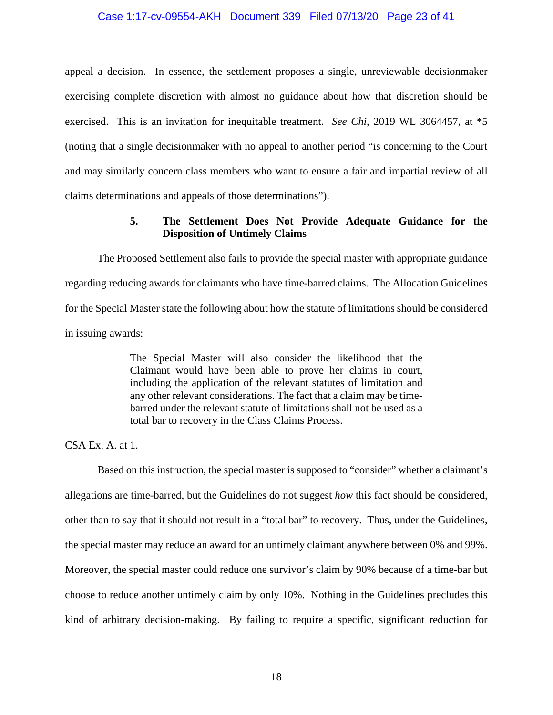## Case 1:17-cv-09554-AKH Document 339 Filed 07/13/20 Page 23 of 41

appeal a decision. In essence, the settlement proposes a single, unreviewable decisionmaker exercising complete discretion with almost no guidance about how that discretion should be exercised. This is an invitation for inequitable treatment. *See Chi*, 2019 WL 3064457, at \*5 (noting that a single decisionmaker with no appeal to another period "is concerning to the Court and may similarly concern class members who want to ensure a fair and impartial review of all claims determinations and appeals of those determinations").

## **5. The Settlement Does Not Provide Adequate Guidance for the Disposition of Untimely Claims**

 The Proposed Settlement also fails to provide the special master with appropriate guidance regarding reducing awards for claimants who have time-barred claims. The Allocation Guidelines for the Special Master state the following about how the statute of limitations should be considered in issuing awards:

> The Special Master will also consider the likelihood that the Claimant would have been able to prove her claims in court, including the application of the relevant statutes of limitation and any other relevant considerations. The fact that a claim may be timebarred under the relevant statute of limitations shall not be used as a total bar to recovery in the Class Claims Process.

CSA Ex. A. at 1.

 Based on this instruction, the special master is supposed to "consider" whether a claimant's allegations are time-barred, but the Guidelines do not suggest *how* this fact should be considered, other than to say that it should not result in a "total bar" to recovery. Thus, under the Guidelines, the special master may reduce an award for an untimely claimant anywhere between 0% and 99%. Moreover, the special master could reduce one survivor's claim by 90% because of a time-bar but choose to reduce another untimely claim by only 10%. Nothing in the Guidelines precludes this kind of arbitrary decision-making. By failing to require a specific, significant reduction for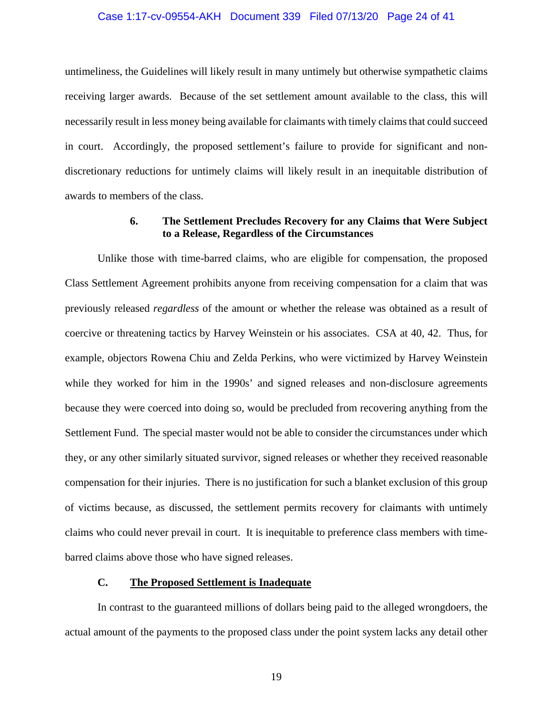## Case 1:17-cv-09554-AKH Document 339 Filed 07/13/20 Page 24 of 41

untimeliness, the Guidelines will likely result in many untimely but otherwise sympathetic claims receiving larger awards. Because of the set settlement amount available to the class, this will necessarily result in less money being available for claimants with timely claims that could succeed in court. Accordingly, the proposed settlement's failure to provide for significant and nondiscretionary reductions for untimely claims will likely result in an inequitable distribution of awards to members of the class.

## **6. The Settlement Precludes Recovery for any Claims that Were Subject to a Release, Regardless of the Circumstances**

Unlike those with time-barred claims, who are eligible for compensation, the proposed Class Settlement Agreement prohibits anyone from receiving compensation for a claim that was previously released *regardless* of the amount or whether the release was obtained as a result of coercive or threatening tactics by Harvey Weinstein or his associates. CSA at 40, 42. Thus, for example, objectors Rowena Chiu and Zelda Perkins, who were victimized by Harvey Weinstein while they worked for him in the 1990s' and signed releases and non-disclosure agreements because they were coerced into doing so, would be precluded from recovering anything from the Settlement Fund. The special master would not be able to consider the circumstances under which they, or any other similarly situated survivor, signed releases or whether they received reasonable compensation for their injuries. There is no justification for such a blanket exclusion of this group of victims because, as discussed, the settlement permits recovery for claimants with untimely claims who could never prevail in court. It is inequitable to preference class members with timebarred claims above those who have signed releases.

## **C. The Proposed Settlement is Inadequate**

In contrast to the guaranteed millions of dollars being paid to the alleged wrongdoers, the actual amount of the payments to the proposed class under the point system lacks any detail other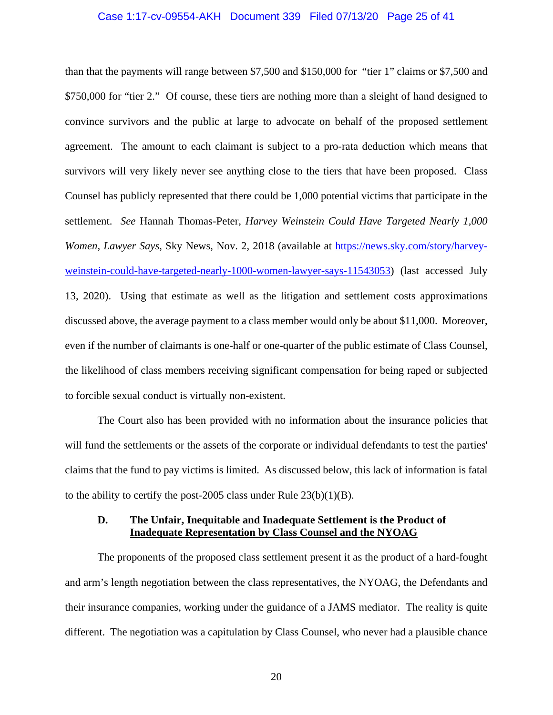## Case 1:17-cv-09554-AKH Document 339 Filed 07/13/20 Page 25 of 41

than that the payments will range between \$7,500 and \$150,000 for "tier 1" claims or \$7,500 and \$750,000 for "tier 2." Of course, these tiers are nothing more than a sleight of hand designed to convince survivors and the public at large to advocate on behalf of the proposed settlement agreement. The amount to each claimant is subject to a pro-rata deduction which means that survivors will very likely never see anything close to the tiers that have been proposed. Class Counsel has publicly represented that there could be 1,000 potential victims that participate in the settlement. *See* Hannah Thomas-Peter, *Harvey Weinstein Could Have Targeted Nearly 1,000 Women, Lawyer Says, Sky News, Nov. 2, 2018 (available at https://news.sky.com/story/harvey*weinstein-could-have-targeted-nearly-1000-women-lawyer-says-11543053) (last accessed July 13, 2020). Using that estimate as well as the litigation and settlement costs approximations discussed above, the average payment to a class member would only be about \$11,000. Moreover, even if the number of claimants is one-half or one-quarter of the public estimate of Class Counsel, the likelihood of class members receiving significant compensation for being raped or subjected to forcible sexual conduct is virtually non-existent.

The Court also has been provided with no information about the insurance policies that will fund the settlements or the assets of the corporate or individual defendants to test the parties' claims that the fund to pay victims is limited. As discussed below, this lack of information is fatal to the ability to certify the post-2005 class under Rule  $23(b)(1)(B)$ .

## **D. The Unfair, Inequitable and Inadequate Settlement is the Product of Inadequate Representation by Class Counsel and the NYOAG**

 The proponents of the proposed class settlement present it as the product of a hard-fought and arm's length negotiation between the class representatives, the NYOAG, the Defendants and their insurance companies, working under the guidance of a JAMS mediator. The reality is quite different. The negotiation was a capitulation by Class Counsel, who never had a plausible chance

20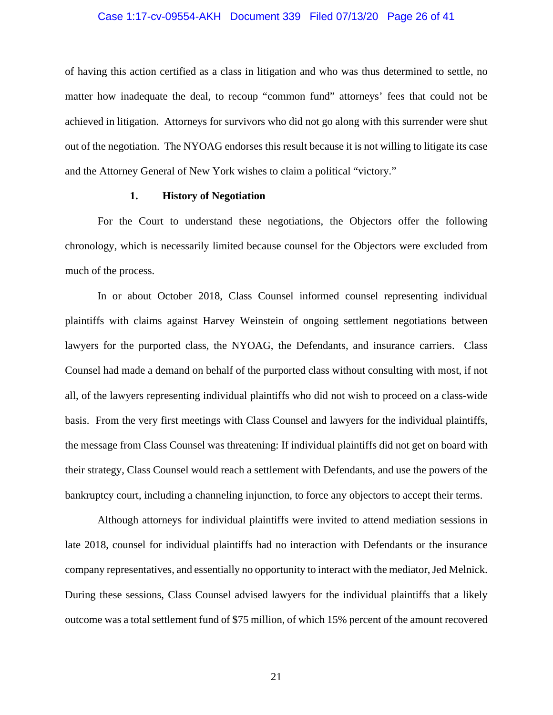## Case 1:17-cv-09554-AKH Document 339 Filed 07/13/20 Page 26 of 41

of having this action certified as a class in litigation and who was thus determined to settle, no matter how inadequate the deal, to recoup "common fund" attorneys' fees that could not be achieved in litigation. Attorneys for survivors who did not go along with this surrender were shut out of the negotiation. The NYOAG endorses this result because it is not willing to litigate its case and the Attorney General of New York wishes to claim a political "victory."

## **1. History of Negotiation**

 For the Court to understand these negotiations, the Objectors offer the following chronology, which is necessarily limited because counsel for the Objectors were excluded from much of the process.

 In or about October 2018, Class Counsel informed counsel representing individual plaintiffs with claims against Harvey Weinstein of ongoing settlement negotiations between lawyers for the purported class, the NYOAG, the Defendants, and insurance carriers. Class Counsel had made a demand on behalf of the purported class without consulting with most, if not all, of the lawyers representing individual plaintiffs who did not wish to proceed on a class-wide basis. From the very first meetings with Class Counsel and lawyers for the individual plaintiffs, the message from Class Counsel was threatening: If individual plaintiffs did not get on board with their strategy, Class Counsel would reach a settlement with Defendants, and use the powers of the bankruptcy court, including a channeling injunction, to force any objectors to accept their terms.

 Although attorneys for individual plaintiffs were invited to attend mediation sessions in late 2018, counsel for individual plaintiffs had no interaction with Defendants or the insurance company representatives, and essentially no opportunity to interact with the mediator, Jed Melnick. During these sessions, Class Counsel advised lawyers for the individual plaintiffs that a likely outcome was a total settlement fund of \$75 million, of which 15% percent of the amount recovered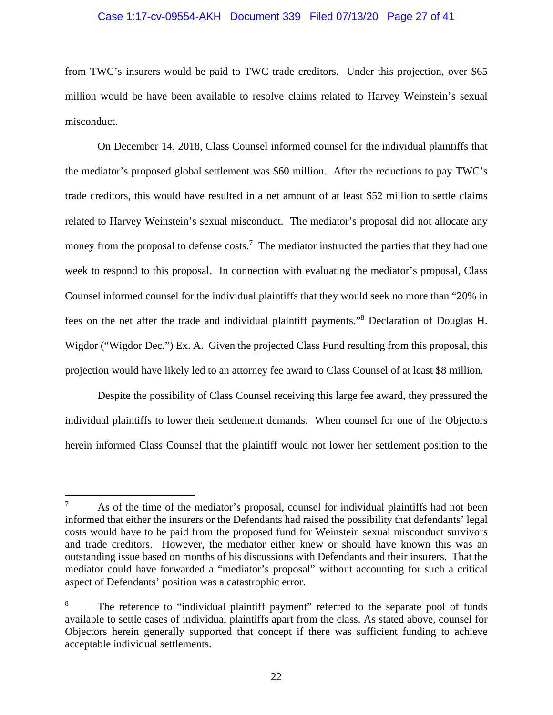## Case 1:17-cv-09554-AKH Document 339 Filed 07/13/20 Page 27 of 41

from TWC's insurers would be paid to TWC trade creditors. Under this projection, over \$65 million would be have been available to resolve claims related to Harvey Weinstein's sexual misconduct.

 On December 14, 2018, Class Counsel informed counsel for the individual plaintiffs that the mediator's proposed global settlement was \$60 million. After the reductions to pay TWC's trade creditors, this would have resulted in a net amount of at least \$52 million to settle claims related to Harvey Weinstein's sexual misconduct. The mediator's proposal did not allocate any money from the proposal to defense  $costs$ .<sup>7</sup> The mediator instructed the parties that they had one week to respond to this proposal. In connection with evaluating the mediator's proposal, Class Counsel informed counsel for the individual plaintiffs that they would seek no more than "20% in fees on the net after the trade and individual plaintiff payments."8 Declaration of Douglas H. Wigdor ("Wigdor Dec.") Ex. A. Given the projected Class Fund resulting from this proposal, this projection would have likely led to an attorney fee award to Class Counsel of at least \$8 million.

 Despite the possibility of Class Counsel receiving this large fee award, they pressured the individual plaintiffs to lower their settlement demands. When counsel for one of the Objectors herein informed Class Counsel that the plaintiff would not lower her settlement position to the

<sup>7</sup> As of the time of the mediator's proposal, counsel for individual plaintiffs had not been informed that either the insurers or the Defendants had raised the possibility that defendants' legal costs would have to be paid from the proposed fund for Weinstein sexual misconduct survivors and trade creditors. However, the mediator either knew or should have known this was an outstanding issue based on months of his discussions with Defendants and their insurers. That the mediator could have forwarded a "mediator's proposal" without accounting for such a critical aspect of Defendants' position was a catastrophic error.

<sup>8</sup> The reference to "individual plaintiff payment" referred to the separate pool of funds available to settle cases of individual plaintiffs apart from the class. As stated above, counsel for Objectors herein generally supported that concept if there was sufficient funding to achieve acceptable individual settlements.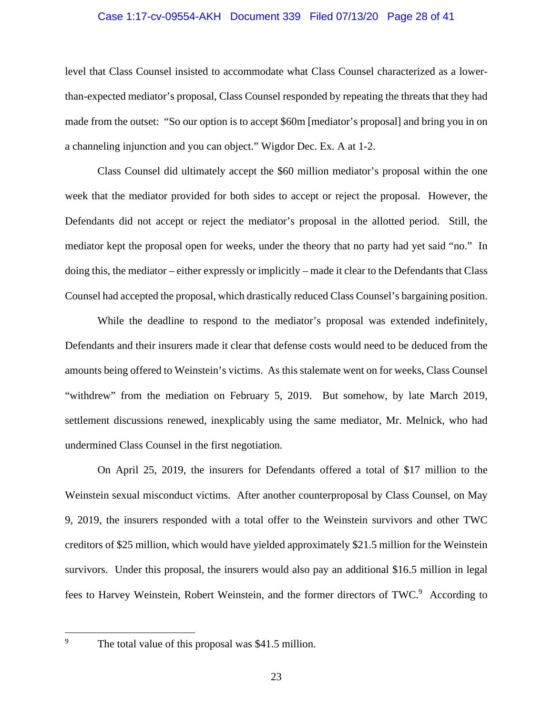## Case 1:17-cv-09554-AKH Document 339 Filed 07/13/20 Page 28 of 41

level that Class Counsel insisted to accommodate what Class Counsel characterized as a lowerthan-expected mediator's proposal, Class Counsel responded by repeating the threats that they had made from the outset: "So our option is to accept \$60m [mediator's proposal] and bring you in on a channeling injunction and you can object." Wigdor Dec. Ex. A at 1-2.

 Class Counsel did ultimately accept the \$60 million mediator's proposal within the one week that the mediator provided for both sides to accept or reject the proposal. However, the Defendants did not accept or reject the mediator's proposal in the allotted period. Still, the mediator kept the proposal open for weeks, under the theory that no party had yet said "no." In doing this, the mediator – either expressly or implicitly – made it clear to the Defendants that Class Counsel had accepted the proposal, which drastically reduced Class Counsel's bargaining position.

 While the deadline to respond to the mediator's proposal was extended indefinitely, Defendants and their insurers made it clear that defense costs would need to be deduced from the amounts being offered to Weinstein's victims. As this stalemate went on for weeks, Class Counsel "withdrew" from the mediation on February 5, 2019. But somehow, by late March 2019, settlement discussions renewed, inexplicably using the same mediator, Mr. Melnick, who had undermined Class Counsel in the first negotiation.

 On April 25, 2019, the insurers for Defendants offered a total of \$17 million to the Weinstein sexual misconduct victims. After another counterproposal by Class Counsel, on May 9, 2019, the insurers responded with a total offer to the Weinstein survivors and other TWC creditors of \$25 million, which would have yielded approximately \$21.5 million for the Weinstein survivors. Under this proposal, the insurers would also pay an additional \$16.5 million in legal fees to Harvey Weinstein, Robert Weinstein, and the former directors of TWC.<sup>9</sup> According to

9

The total value of this proposal was \$41.5 million.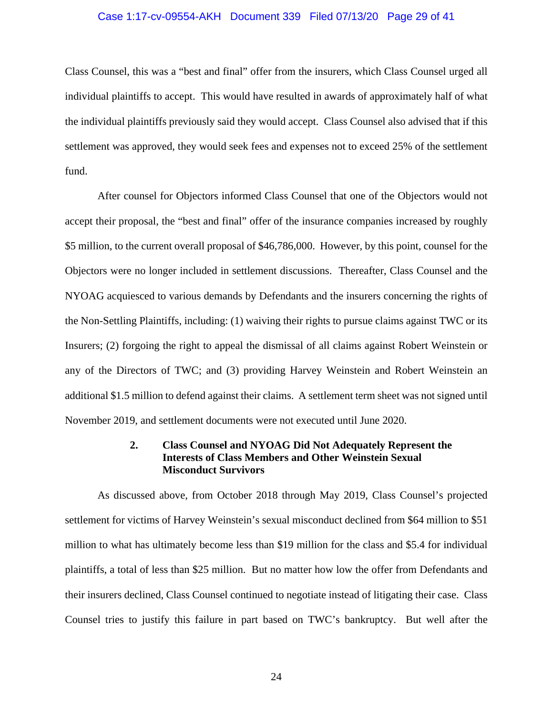## Case 1:17-cv-09554-AKH Document 339 Filed 07/13/20 Page 29 of 41

Class Counsel, this was a "best and final" offer from the insurers, which Class Counsel urged all individual plaintiffs to accept. This would have resulted in awards of approximately half of what the individual plaintiffs previously said they would accept. Class Counsel also advised that if this settlement was approved, they would seek fees and expenses not to exceed 25% of the settlement fund.

 After counsel for Objectors informed Class Counsel that one of the Objectors would not accept their proposal, the "best and final" offer of the insurance companies increased by roughly \$5 million, to the current overall proposal of \$46,786,000. However, by this point, counsel for the Objectors were no longer included in settlement discussions. Thereafter, Class Counsel and the NYOAG acquiesced to various demands by Defendants and the insurers concerning the rights of the Non-Settling Plaintiffs, including: (1) waiving their rights to pursue claims against TWC or its Insurers; (2) forgoing the right to appeal the dismissal of all claims against Robert Weinstein or any of the Directors of TWC; and (3) providing Harvey Weinstein and Robert Weinstein an additional \$1.5 million to defend against their claims. A settlement term sheet was not signed until November 2019, and settlement documents were not executed until June 2020.

## **2. Class Counsel and NYOAG Did Not Adequately Represent the Interests of Class Members and Other Weinstein Sexual Misconduct Survivors**

 As discussed above, from October 2018 through May 2019, Class Counsel's projected settlement for victims of Harvey Weinstein's sexual misconduct declined from \$64 million to \$51 million to what has ultimately become less than \$19 million for the class and \$5.4 for individual plaintiffs, a total of less than \$25 million. But no matter how low the offer from Defendants and their insurers declined, Class Counsel continued to negotiate instead of litigating their case. Class Counsel tries to justify this failure in part based on TWC's bankruptcy. But well after the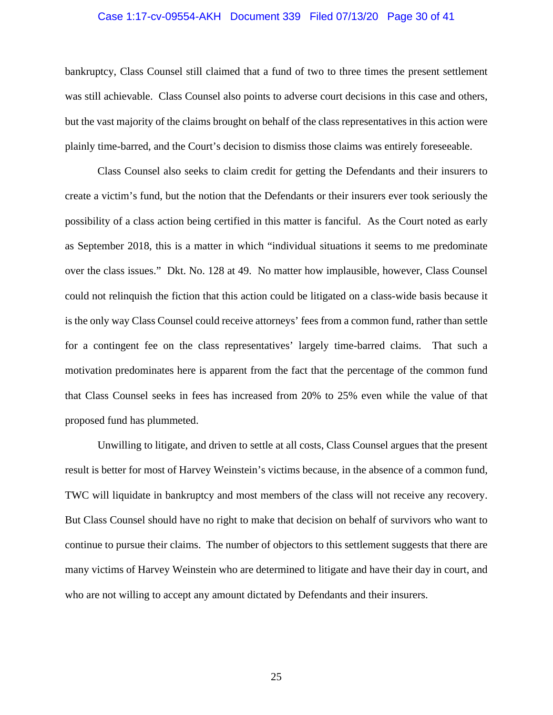## Case 1:17-cv-09554-AKH Document 339 Filed 07/13/20 Page 30 of 41

bankruptcy, Class Counsel still claimed that a fund of two to three times the present settlement was still achievable. Class Counsel also points to adverse court decisions in this case and others, but the vast majority of the claims brought on behalf of the class representatives in this action were plainly time-barred, and the Court's decision to dismiss those claims was entirely foreseeable.

Class Counsel also seeks to claim credit for getting the Defendants and their insurers to create a victim's fund, but the notion that the Defendants or their insurers ever took seriously the possibility of a class action being certified in this matter is fanciful. As the Court noted as early as September 2018, this is a matter in which "individual situations it seems to me predominate over the class issues." Dkt. No. 128 at 49. No matter how implausible, however, Class Counsel could not relinquish the fiction that this action could be litigated on a class-wide basis because it is the only way Class Counsel could receive attorneys' fees from a common fund, rather than settle for a contingent fee on the class representatives' largely time-barred claims. That such a motivation predominates here is apparent from the fact that the percentage of the common fund that Class Counsel seeks in fees has increased from 20% to 25% even while the value of that proposed fund has plummeted.

Unwilling to litigate, and driven to settle at all costs, Class Counsel argues that the present result is better for most of Harvey Weinstein's victims because, in the absence of a common fund, TWC will liquidate in bankruptcy and most members of the class will not receive any recovery. But Class Counsel should have no right to make that decision on behalf of survivors who want to continue to pursue their claims. The number of objectors to this settlement suggests that there are many victims of Harvey Weinstein who are determined to litigate and have their day in court, and who are not willing to accept any amount dictated by Defendants and their insurers.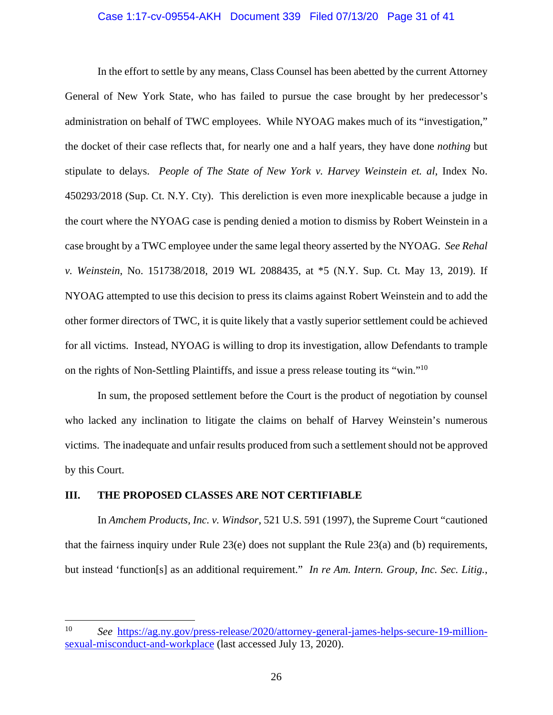## Case 1:17-cv-09554-AKH Document 339 Filed 07/13/20 Page 31 of 41

In the effort to settle by any means, Class Counsel has been abetted by the current Attorney General of New York State, who has failed to pursue the case brought by her predecessor's administration on behalf of TWC employees. While NYOAG makes much of its "investigation," the docket of their case reflects that, for nearly one and a half years, they have done *nothing* but stipulate to delays. *People of The State of New York v. Harvey Weinstein et. al*, Index No. 450293/2018 (Sup. Ct. N.Y. Cty). This dereliction is even more inexplicable because a judge in the court where the NYOAG case is pending denied a motion to dismiss by Robert Weinstein in a case brought by a TWC employee under the same legal theory asserted by the NYOAG. *See Rehal v. Weinstein*, No. 151738/2018, 2019 WL 2088435, at \*5 (N.Y. Sup. Ct. May 13, 2019). If NYOAG attempted to use this decision to press its claims against Robert Weinstein and to add the other former directors of TWC, it is quite likely that a vastly superior settlement could be achieved for all victims. Instead, NYOAG is willing to drop its investigation, allow Defendants to trample on the rights of Non-Settling Plaintiffs, and issue a press release touting its "win."<sup>10</sup>

In sum, the proposed settlement before the Court is the product of negotiation by counsel who lacked any inclination to litigate the claims on behalf of Harvey Weinstein's numerous victims. The inadequate and unfair results produced from such a settlement should not be approved by this Court.

## **III. THE PROPOSED CLASSES ARE NOT CERTIFIABLE**

In *Amchem Products, Inc. v. Windsor*, 521 U.S. 591 (1997), the Supreme Court "cautioned that the fairness inquiry under Rule 23(e) does not supplant the Rule 23(a) and (b) requirements, but instead 'function[s] as an additional requirement." *In re Am. Intern. Group, Inc. Sec. Litig.*,

<sup>10</sup> *See* https://ag.ny.gov/press-release/2020/attorney-general-james-helps-secure-19-millionsexual-misconduct-and-workplace (last accessed July 13, 2020).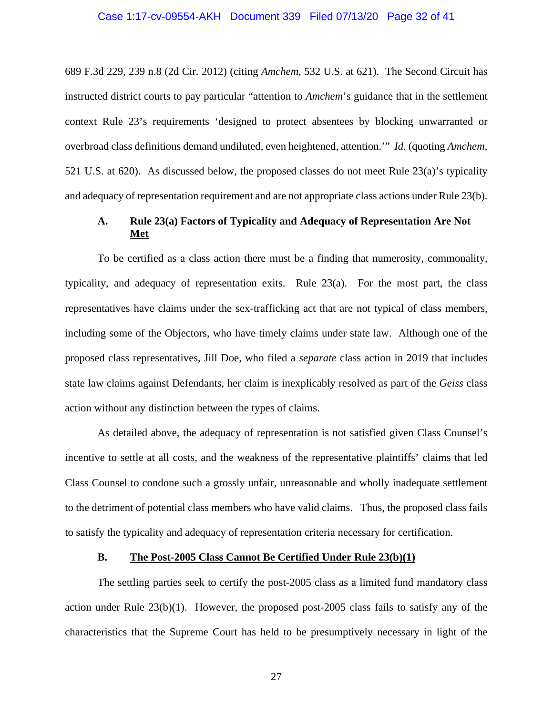689 F.3d 229, 239 n.8 (2d Cir. 2012) (citing *Amchem*, 532 U.S. at 621). The Second Circuit has instructed district courts to pay particular "attention to *Amchem*'s guidance that in the settlement context Rule 23's requirements 'designed to protect absentees by blocking unwarranted or overbroad class definitions demand undiluted, even heightened, attention.'" *Id.* (quoting *Amchem*, 521 U.S. at 620). As discussed below, the proposed classes do not meet Rule 23(a)'s typicality and adequacy of representation requirement and are not appropriate class actions under Rule 23(b).

## **A. Rule 23(a) Factors of Typicality and Adequacy of Representation Are Not Met**

To be certified as a class action there must be a finding that numerosity, commonality, typicality, and adequacy of representation exits. Rule 23(a). For the most part, the class representatives have claims under the sex-trafficking act that are not typical of class members, including some of the Objectors, who have timely claims under state law. Although one of the proposed class representatives, Jill Doe, who filed a *separate* class action in 2019 that includes state law claims against Defendants, her claim is inexplicably resolved as part of the *Geiss* class action without any distinction between the types of claims.

As detailed above, the adequacy of representation is not satisfied given Class Counsel's incentive to settle at all costs, and the weakness of the representative plaintiffs' claims that led Class Counsel to condone such a grossly unfair, unreasonable and wholly inadequate settlement to the detriment of potential class members who have valid claims. Thus, the proposed class fails to satisfy the typicality and adequacy of representation criteria necessary for certification.

## **B. The Post-2005 Class Cannot Be Certified Under Rule 23(b)(1)**

The settling parties seek to certify the post-2005 class as a limited fund mandatory class action under Rule 23(b)(1). However, the proposed post-2005 class fails to satisfy any of the characteristics that the Supreme Court has held to be presumptively necessary in light of the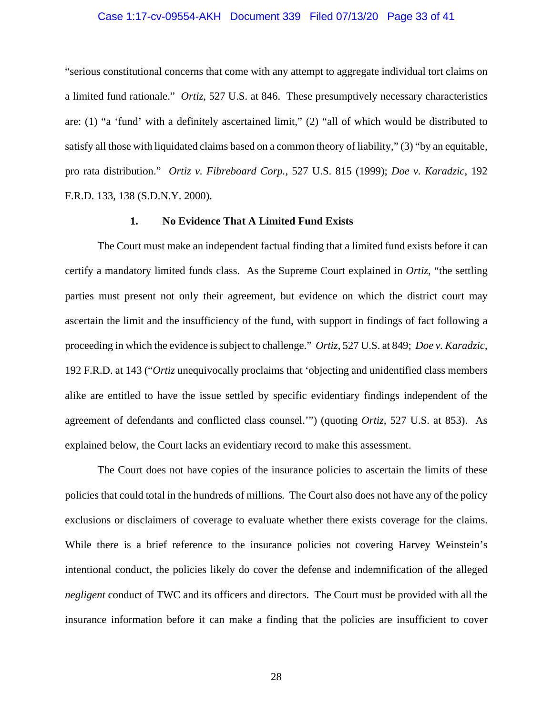## Case 1:17-cv-09554-AKH Document 339 Filed 07/13/20 Page 33 of 41

"serious constitutional concerns that come with any attempt to aggregate individual tort claims on a limited fund rationale." *Ortiz*, 527 U.S. at 846. These presumptively necessary characteristics are: (1) "a 'fund' with a definitely ascertained limit," (2) "all of which would be distributed to satisfy all those with liquidated claims based on a common theory of liability," (3) "by an equitable, pro rata distribution." *Ortiz v. Fibreboard Corp.*, 527 U.S. 815 (1999); *Doe v. Karadzic*, 192 F.R.D. 133, 138 (S.D.N.Y. 2000).

#### **1. No Evidence That A Limited Fund Exists**

The Court must make an independent factual finding that a limited fund exists before it can certify a mandatory limited funds class. As the Supreme Court explained in *Ortiz*, "the settling parties must present not only their agreement, but evidence on which the district court may ascertain the limit and the insufficiency of the fund, with support in findings of fact following a proceeding in which the evidence is subject to challenge." *Ortiz*, 527 U.S. at 849; *Doe v. Karadzic*, 192 F.R.D. at 143 ("*Ortiz* unequivocally proclaims that 'objecting and unidentified class members alike are entitled to have the issue settled by specific evidentiary findings independent of the agreement of defendants and conflicted class counsel.'") (quoting *Ortiz*, 527 U.S. at 853). As explained below, the Court lacks an evidentiary record to make this assessment.

The Court does not have copies of the insurance policies to ascertain the limits of these policies that could total in the hundreds of millions*.* The Court also does not have any of the policy exclusions or disclaimers of coverage to evaluate whether there exists coverage for the claims. While there is a brief reference to the insurance policies not covering Harvey Weinstein's intentional conduct, the policies likely do cover the defense and indemnification of the alleged *negligent* conduct of TWC and its officers and directors. The Court must be provided with all the insurance information before it can make a finding that the policies are insufficient to cover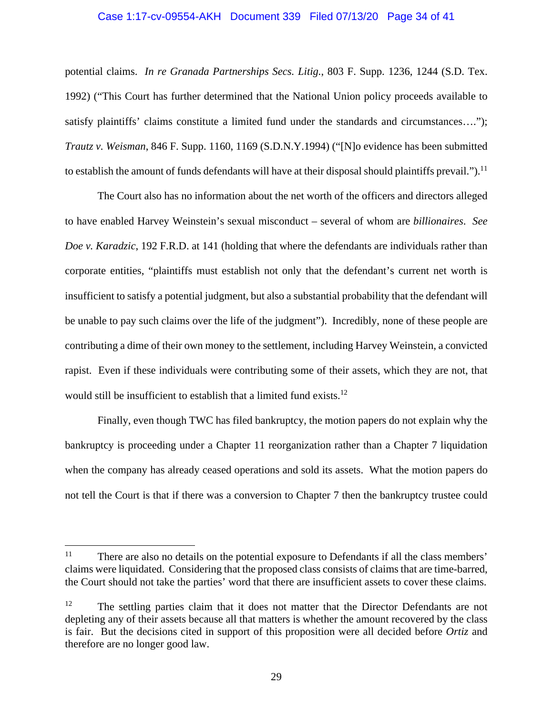## Case 1:17-cv-09554-AKH Document 339 Filed 07/13/20 Page 34 of 41

potential claims. *In re Granada Partnerships Secs. Litig.*, 803 F. Supp. 1236, 1244 (S.D. Tex. 1992) ("This Court has further determined that the National Union policy proceeds available to satisfy plaintiffs' claims constitute a limited fund under the standards and circumstances…."); *Trautz v. Weisman*, 846 F. Supp. 1160, 1169 (S.D.N.Y.1994) ("[N]o evidence has been submitted to establish the amount of funds defendants will have at their disposal should plaintiffs prevail.").<sup>11</sup>

The Court also has no information about the net worth of the officers and directors alleged to have enabled Harvey Weinstein's sexual misconduct – several of whom are *billionaires*. *See Doe v. Karadzic*, 192 F.R.D. at 141 (holding that where the defendants are individuals rather than corporate entities, "plaintiffs must establish not only that the defendant's current net worth is insufficient to satisfy a potential judgment, but also a substantial probability that the defendant will be unable to pay such claims over the life of the judgment"). Incredibly, none of these people are contributing a dime of their own money to the settlement, including Harvey Weinstein, a convicted rapist. Even if these individuals were contributing some of their assets, which they are not, that would still be insufficient to establish that a limited fund exists.<sup>12</sup>

Finally, even though TWC has filed bankruptcy, the motion papers do not explain why the bankruptcy is proceeding under a Chapter 11 reorganization rather than a Chapter 7 liquidation when the company has already ceased operations and sold its assets. What the motion papers do not tell the Court is that if there was a conversion to Chapter 7 then the bankruptcy trustee could

 $11$  There are also no details on the potential exposure to Defendants if all the class members' claims were liquidated. Considering that the proposed class consists of claims that are time-barred, the Court should not take the parties' word that there are insufficient assets to cover these claims.

<sup>&</sup>lt;sup>12</sup> The settling parties claim that it does not matter that the Director Defendants are not depleting any of their assets because all that matters is whether the amount recovered by the class is fair. But the decisions cited in support of this proposition were all decided before *Ortiz* and therefore are no longer good law.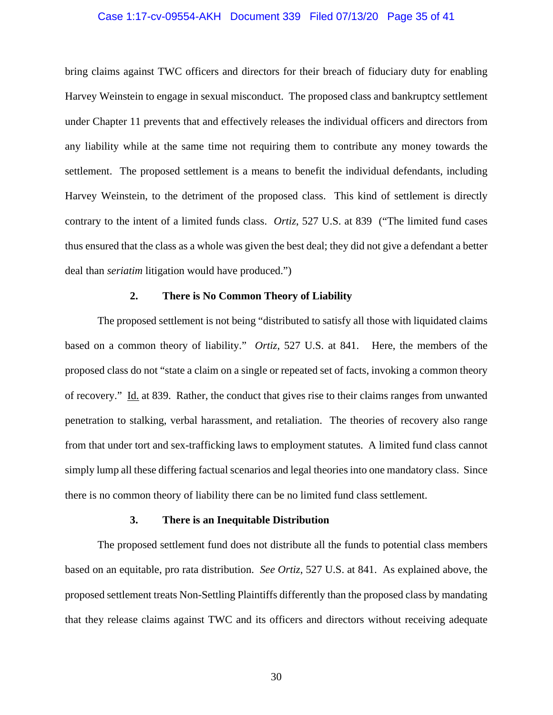## Case 1:17-cv-09554-AKH Document 339 Filed 07/13/20 Page 35 of 41

bring claims against TWC officers and directors for their breach of fiduciary duty for enabling Harvey Weinstein to engage in sexual misconduct. The proposed class and bankruptcy settlement under Chapter 11 prevents that and effectively releases the individual officers and directors from any liability while at the same time not requiring them to contribute any money towards the settlement. The proposed settlement is a means to benefit the individual defendants, including Harvey Weinstein, to the detriment of the proposed class. This kind of settlement is directly contrary to the intent of a limited funds class. *Ortiz*, 527 U.S. at 839 ("The limited fund cases thus ensured that the class as a whole was given the best deal; they did not give a defendant a better deal than *seriatim* litigation would have produced.")

## **2. There is No Common Theory of Liability**

The proposed settlement is not being "distributed to satisfy all those with liquidated claims based on a common theory of liability." *Ortiz*, 527 U.S. at 841. Here, the members of the proposed class do not "state a claim on a single or repeated set of facts, invoking a common theory of recovery." Id. at 839. Rather, the conduct that gives rise to their claims ranges from unwanted penetration to stalking, verbal harassment, and retaliation. The theories of recovery also range from that under tort and sex-trafficking laws to employment statutes. A limited fund class cannot simply lump all these differing factual scenarios and legal theories into one mandatory class. Since there is no common theory of liability there can be no limited fund class settlement.

#### **3. There is an Inequitable Distribution**

 The proposed settlement fund does not distribute all the funds to potential class members based on an equitable, pro rata distribution. *See Ortiz*, 527 U.S. at 841. As explained above, the proposed settlement treats Non-Settling Plaintiffs differently than the proposed class by mandating that they release claims against TWC and its officers and directors without receiving adequate

30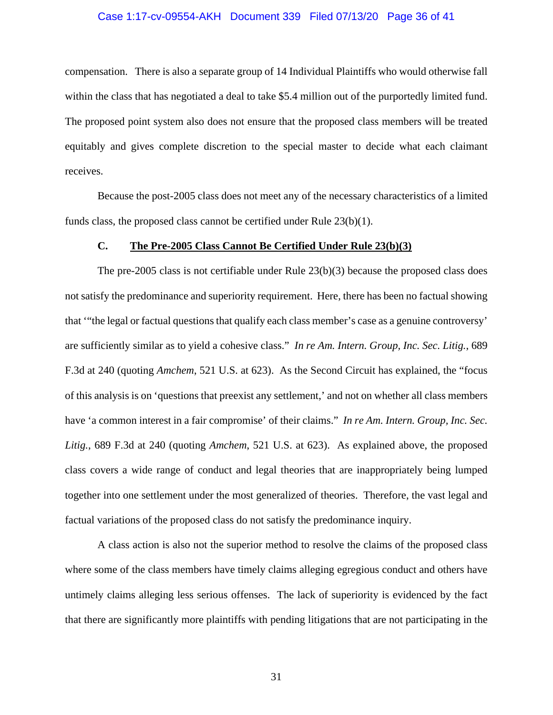## Case 1:17-cv-09554-AKH Document 339 Filed 07/13/20 Page 36 of 41

compensation. There is also a separate group of 14 Individual Plaintiffs who would otherwise fall within the class that has negotiated a deal to take \$5.4 million out of the purportedly limited fund. The proposed point system also does not ensure that the proposed class members will be treated equitably and gives complete discretion to the special master to decide what each claimant receives.

 Because the post-2005 class does not meet any of the necessary characteristics of a limited funds class, the proposed class cannot be certified under Rule 23(b)(1).

## **C. The Pre-2005 Class Cannot Be Certified Under Rule 23(b)(3)**

The pre-2005 class is not certifiable under Rule  $23(b)(3)$  because the proposed class does not satisfy the predominance and superiority requirement. Here, there has been no factual showing that '"the legal or factual questions that qualify each class member's case as a genuine controversy' are sufficiently similar as to yield a cohesive class." *In re Am. Intern. Group, Inc. Sec. Litig.*, 689 F.3d at 240 (quoting *Amchem*, 521 U.S. at 623). As the Second Circuit has explained, the "focus of this analysis is on 'questions that preexist any settlement,' and not on whether all class members have 'a common interest in a fair compromise' of their claims." *In re Am. Intern. Group, Inc. Sec. Litig.*, 689 F.3d at 240 (quoting *Amchem*, 521 U.S. at 623). As explained above, the proposed class covers a wide range of conduct and legal theories that are inappropriately being lumped together into one settlement under the most generalized of theories. Therefore, the vast legal and factual variations of the proposed class do not satisfy the predominance inquiry.

A class action is also not the superior method to resolve the claims of the proposed class where some of the class members have timely claims alleging egregious conduct and others have untimely claims alleging less serious offenses. The lack of superiority is evidenced by the fact that there are significantly more plaintiffs with pending litigations that are not participating in the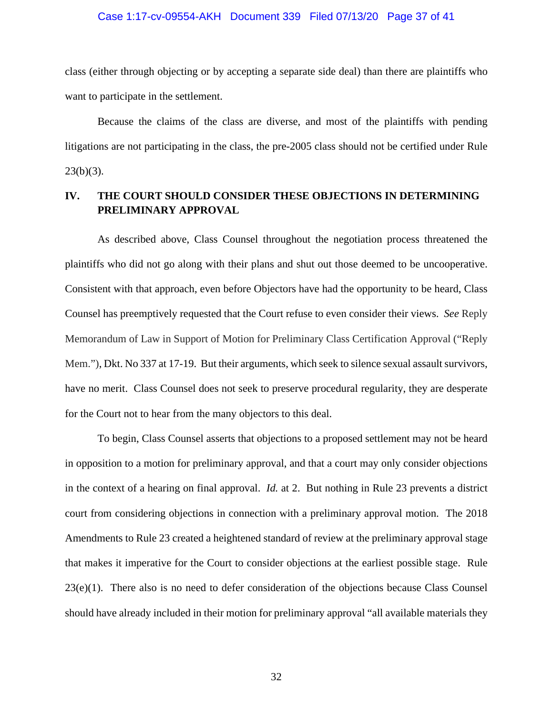#### Case 1:17-cv-09554-AKH Document 339 Filed 07/13/20 Page 37 of 41

class (either through objecting or by accepting a separate side deal) than there are plaintiffs who want to participate in the settlement.

Because the claims of the class are diverse, and most of the plaintiffs with pending litigations are not participating in the class, the pre-2005 class should not be certified under Rule  $23(b)(3)$ .

## **IV. THE COURT SHOULD CONSIDER THESE OBJECTIONS IN DETERMINING PRELIMINARY APPROVAL**

As described above, Class Counsel throughout the negotiation process threatened the plaintiffs who did not go along with their plans and shut out those deemed to be uncooperative. Consistent with that approach, even before Objectors have had the opportunity to be heard, Class Counsel has preemptively requested that the Court refuse to even consider their views. *See* Reply Memorandum of Law in Support of Motion for Preliminary Class Certification Approval ("Reply Mem."), Dkt. No 337 at 17-19. But their arguments, which seek to silence sexual assault survivors, have no merit. Class Counsel does not seek to preserve procedural regularity, they are desperate for the Court not to hear from the many objectors to this deal.

To begin, Class Counsel asserts that objections to a proposed settlement may not be heard in opposition to a motion for preliminary approval, and that a court may only consider objections in the context of a hearing on final approval. *Id.* at 2. But nothing in Rule 23 prevents a district court from considering objections in connection with a preliminary approval motion. The 2018 Amendments to Rule 23 created a heightened standard of review at the preliminary approval stage that makes it imperative for the Court to consider objections at the earliest possible stage. Rule 23(e)(1). There also is no need to defer consideration of the objections because Class Counsel should have already included in their motion for preliminary approval "all available materials they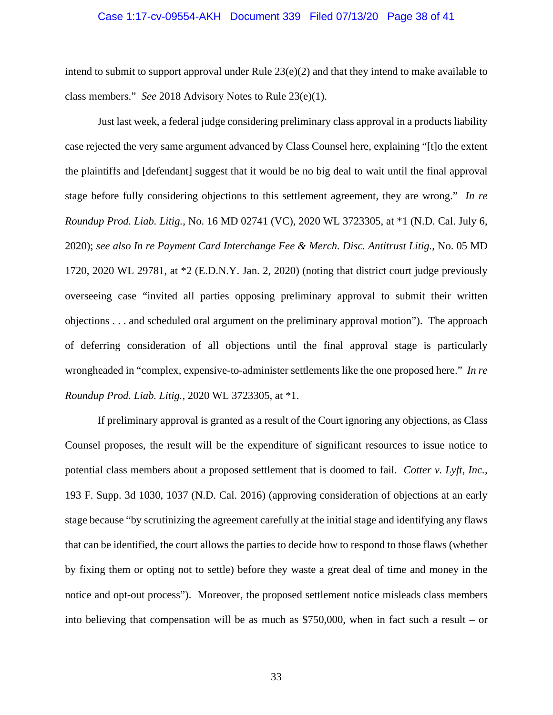#### Case 1:17-cv-09554-AKH Document 339 Filed 07/13/20 Page 38 of 41

intend to submit to support approval under Rule 23(e)(2) and that they intend to make available to class members." *See* 2018 Advisory Notes to Rule 23(e)(1).

Just last week, a federal judge considering preliminary class approval in a products liability case rejected the very same argument advanced by Class Counsel here, explaining "[t]o the extent the plaintiffs and [defendant] suggest that it would be no big deal to wait until the final approval stage before fully considering objections to this settlement agreement, they are wrong." *In re Roundup Prod. Liab. Litig.*, No. 16 MD 02741 (VC), 2020 WL 3723305, at \*1 (N.D. Cal. July 6, 2020); *see also In re Payment Card Interchange Fee & Merch. Disc. Antitrust Litig.*, No. 05 MD 1720, 2020 WL 29781, at \*2 (E.D.N.Y. Jan. 2, 2020) (noting that district court judge previously overseeing case "invited all parties opposing preliminary approval to submit their written objections . . . and scheduled oral argument on the preliminary approval motion"). The approach of deferring consideration of all objections until the final approval stage is particularly wrongheaded in "complex, expensive-to-administer settlements like the one proposed here." *In re Roundup Prod. Liab. Litig.*, 2020 WL 3723305, at \*1.

If preliminary approval is granted as a result of the Court ignoring any objections, as Class Counsel proposes, the result will be the expenditure of significant resources to issue notice to potential class members about a proposed settlement that is doomed to fail. *Cotter v. Lyft, Inc.*, 193 F. Supp. 3d 1030, 1037 (N.D. Cal. 2016) (approving consideration of objections at an early stage because "by scrutinizing the agreement carefully at the initial stage and identifying any flaws that can be identified, the court allows the parties to decide how to respond to those flaws (whether by fixing them or opting not to settle) before they waste a great deal of time and money in the notice and opt-out process"). Moreover, the proposed settlement notice misleads class members into believing that compensation will be as much as  $$750,000$ , when in fact such a result – or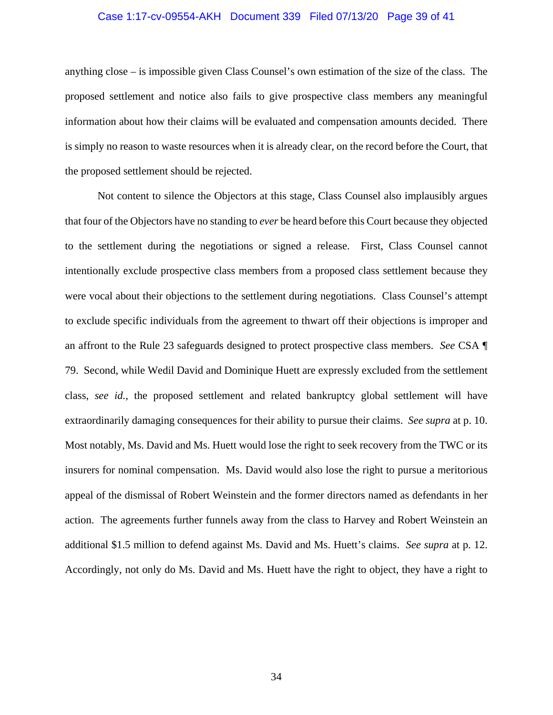## Case 1:17-cv-09554-AKH Document 339 Filed 07/13/20 Page 39 of 41

anything close – is impossible given Class Counsel's own estimation of the size of the class. The proposed settlement and notice also fails to give prospective class members any meaningful information about how their claims will be evaluated and compensation amounts decided. There is simply no reason to waste resources when it is already clear, on the record before the Court, that the proposed settlement should be rejected.

Not content to silence the Objectors at this stage, Class Counsel also implausibly argues that four of the Objectors have no standing to *ever* be heard before this Court because they objected to the settlement during the negotiations or signed a release. First, Class Counsel cannot intentionally exclude prospective class members from a proposed class settlement because they were vocal about their objections to the settlement during negotiations. Class Counsel's attempt to exclude specific individuals from the agreement to thwart off their objections is improper and an affront to the Rule 23 safeguards designed to protect prospective class members. *See* CSA ¶ 79. Second, while Wedil David and Dominique Huett are expressly excluded from the settlement class, *see id.*, the proposed settlement and related bankruptcy global settlement will have extraordinarily damaging consequences for their ability to pursue their claims. *See supra* at p. 10. Most notably, Ms. David and Ms. Huett would lose the right to seek recovery from the TWC or its insurers for nominal compensation. Ms. David would also lose the right to pursue a meritorious appeal of the dismissal of Robert Weinstein and the former directors named as defendants in her action. The agreements further funnels away from the class to Harvey and Robert Weinstein an additional \$1.5 million to defend against Ms. David and Ms. Huett's claims. *See supra* at p. 12. Accordingly, not only do Ms. David and Ms. Huett have the right to object, they have a right to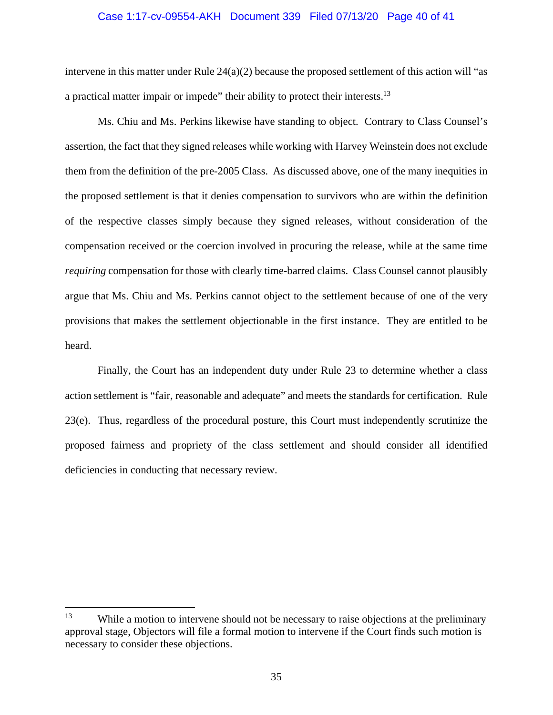## Case 1:17-cv-09554-AKH Document 339 Filed 07/13/20 Page 40 of 41

intervene in this matter under Rule  $24(a)(2)$  because the proposed settlement of this action will "as a practical matter impair or impede" their ability to protect their interests.13

Ms. Chiu and Ms. Perkins likewise have standing to object. Contrary to Class Counsel's assertion, the fact that they signed releases while working with Harvey Weinstein does not exclude them from the definition of the pre-2005 Class. As discussed above, one of the many inequities in the proposed settlement is that it denies compensation to survivors who are within the definition of the respective classes simply because they signed releases, without consideration of the compensation received or the coercion involved in procuring the release, while at the same time *requiring* compensation for those with clearly time-barred claims. Class Counsel cannot plausibly argue that Ms. Chiu and Ms. Perkins cannot object to the settlement because of one of the very provisions that makes the settlement objectionable in the first instance. They are entitled to be heard.

Finally, the Court has an independent duty under Rule 23 to determine whether a class action settlement is "fair, reasonable and adequate" and meets the standards for certification. Rule 23(e). Thus, regardless of the procedural posture, this Court must independently scrutinize the proposed fairness and propriety of the class settlement and should consider all identified deficiencies in conducting that necessary review.

<sup>&</sup>lt;sup>13</sup> While a motion to intervene should not be necessary to raise objections at the preliminary approval stage, Objectors will file a formal motion to intervene if the Court finds such motion is necessary to consider these objections.